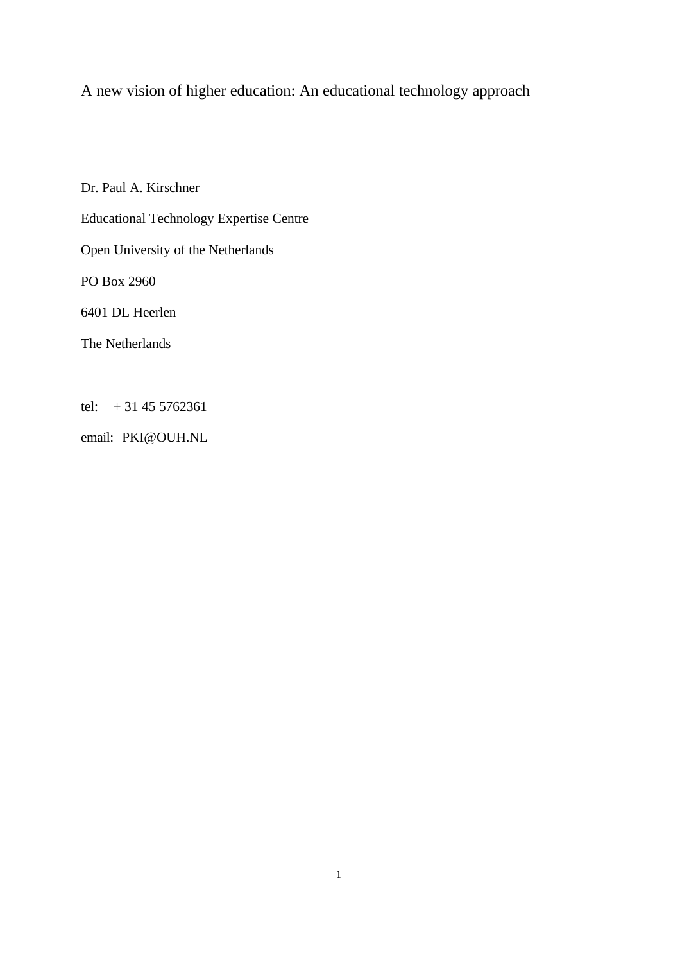A new vision of higher education: An educational technology approach

Dr. Paul A. Kirschner Educational Technology Expertise Centre Open University of the Netherlands PO Box 2960 6401 DL Heerlen The Netherlands

tel:  $+31455762361$ 

email: PKI@OUH.NL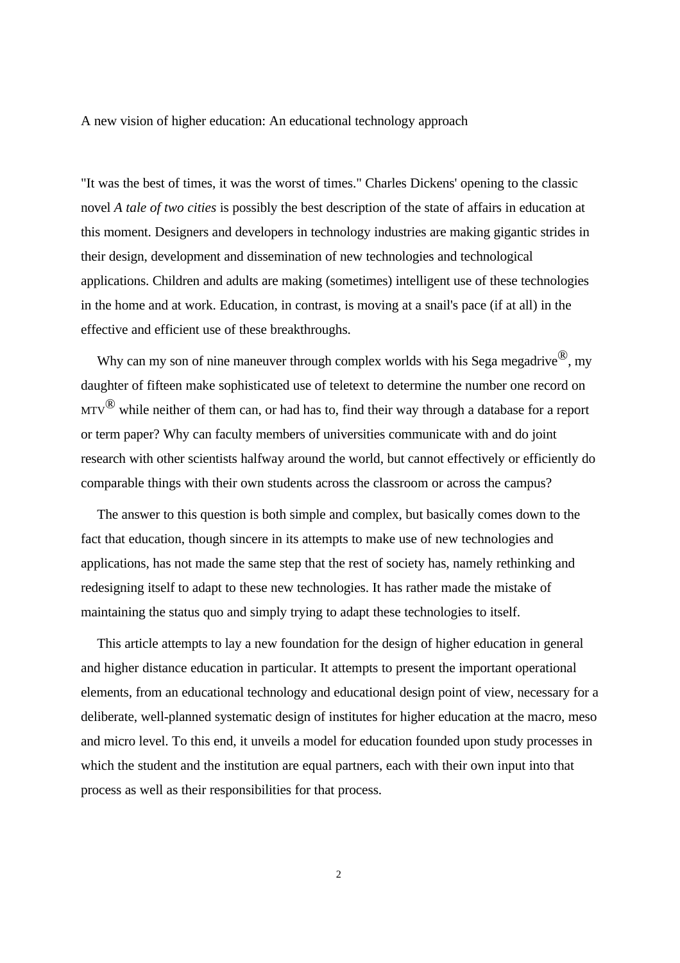A new vision of higher education: An educational technology approach

"It was the best of times, it was the worst of times." Charles Dickens' opening to the classic novel *A tale of two cities* is possibly the best description of the state of affairs in education at this moment. Designers and developers in technology industries are making gigantic strides in their design, development and dissemination of new technologies and technological applications. Children and adults are making (sometimes) intelligent use of these technologies in the home and at work. Education, in contrast, is moving at a snail's pace (if at all) in the effective and efficient use of these breakthroughs.

Why can my son of nine maneuver through complex worlds with his Sega megadrive<sup>(8)</sup>, my daughter of fifteen make sophisticated use of teletext to determine the number one record on  $MTV^{\textcircled{B}}$  while neither of them can, or had has to, find their way through a database for a report or term paper? Why can faculty members of universities communicate with and do joint research with other scientists halfway around the world, but cannot effectively or efficiently do comparable things with their own students across the classroom or across the campus?

The answer to this question is both simple and complex, but basically comes down to the fact that education, though sincere in its attempts to make use of new technologies and applications, has not made the same step that the rest of society has, namely rethinking and redesigning itself to adapt to these new technologies. It has rather made the mistake of maintaining the status quo and simply trying to adapt these technologies to itself.

This article attempts to lay a new foundation for the design of higher education in general and higher distance education in particular. It attempts to present the important operational elements, from an educational technology and educational design point of view, necessary for a deliberate, well-planned systematic design of institutes for higher education at the macro, meso and micro level. To this end, it unveils a model for education founded upon study processes in which the student and the institution are equal partners, each with their own input into that process as well as their responsibilities for that process.

2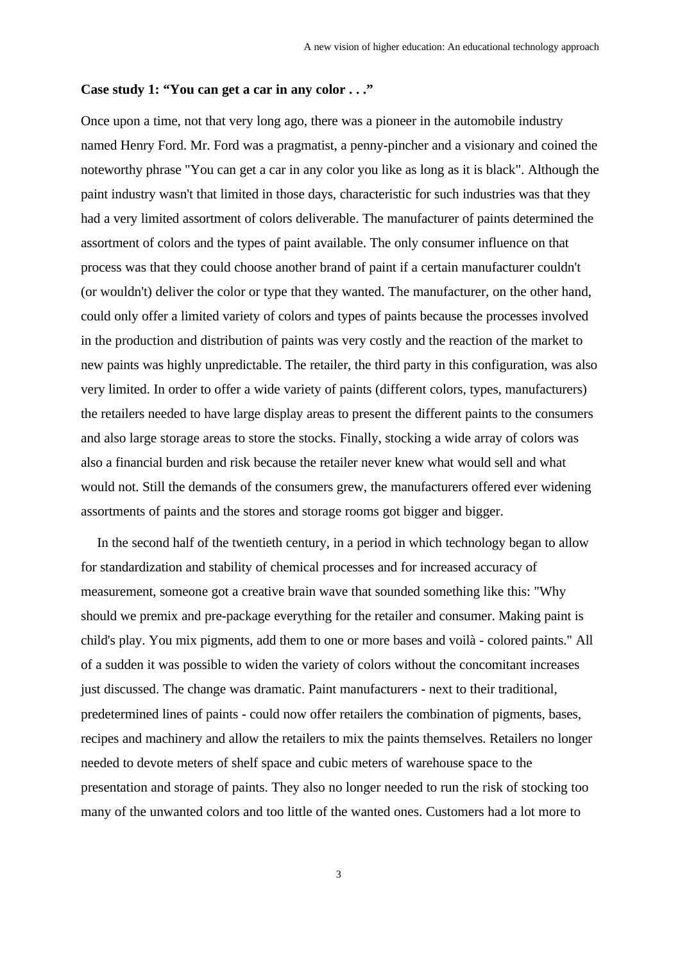### **Case study 1: "You can get a car in any color . . ."**

Once upon a time, not that very long ago, there was a pioneer in the automobile industry named Henry Ford. Mr. Ford was a pragmatist, a penny-pincher and a visionary and coined the noteworthy phrase "You can get a car in any color you like as long as it is black". Although the paint industry wasn't that limited in those days, characteristic for such industries was that they had a very limited assortment of colors deliverable. The manufacturer of paints determined the assortment of colors and the types of paint available. The only consumer influence on that process was that they could choose another brand of paint if a certain manufacturer couldn't (or wouldn't) deliver the color or type that they wanted. The manufacturer, on the other hand, could only offer a limited variety of colors and types of paints because the processes involved in the production and distribution of paints was very costly and the reaction of the market to new paints was highly unpredictable. The retailer, the third party in this configuration, was also very limited. In order to offer a wide variety of paints (different colors, types, manufacturers) the retailers needed to have large display areas to present the different paints to the consumers and also large storage areas to store the stocks. Finally, stocking a wide array of colors was also a financial burden and risk because the retailer never knew what would sell and what would not. Still the demands of the consumers grew, the manufacturers offered ever widening assortments of paints and the stores and storage rooms got bigger and bigger.

In the second half of the twentieth century, in a period in which technology began to allow for standardization and stability of chemical processes and for increased accuracy of measurement, someone got a creative brain wave that sounded something like this: "Why should we premix and pre-package everything for the retailer and consumer. Making paint is child's play. You mix pigments, add them to one or more bases and voilà - colored paints." All of a sudden it was possible to widen the variety of colors without the concomitant increases just discussed. The change was dramatic. Paint manufacturers - next to their traditional, predetermined lines of paints - could now offer retailers the combination of pigments, bases, recipes and machinery and allow the retailers to mix the paints themselves. Retailers no longer needed to devote meters of shelf space and cubic meters of warehouse space to the presentation and storage of paints. They also no longer needed to run the risk of stocking too many of the unwanted colors and too little of the wanted ones. Customers had a lot more to

3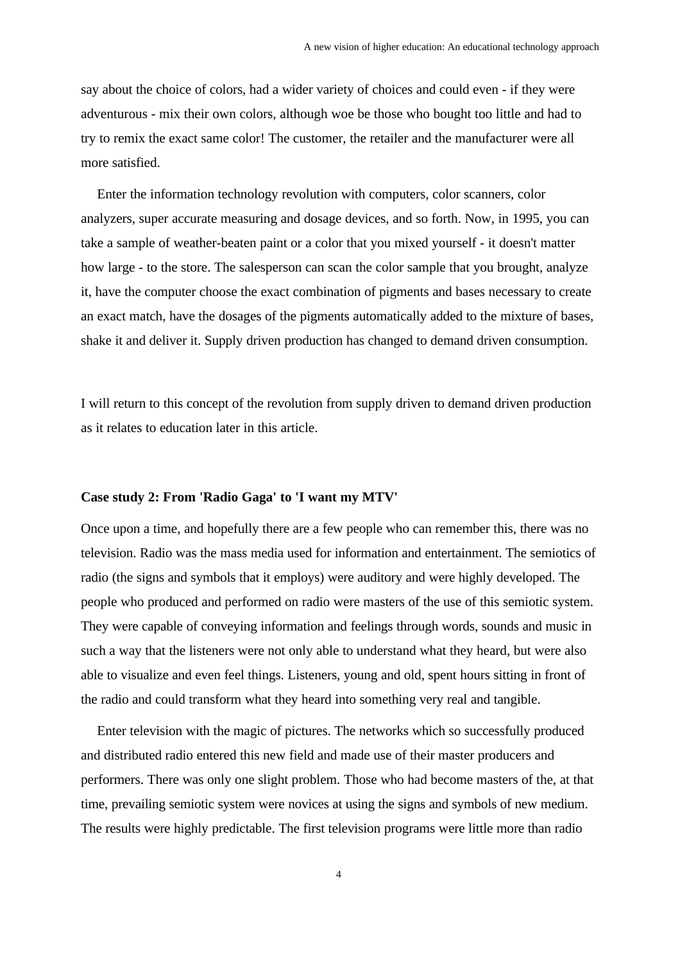say about the choice of colors, had a wider variety of choices and could even - if they were adventurous - mix their own colors, although woe be those who bought too little and had to try to remix the exact same color! The customer, the retailer and the manufacturer were all more satisfied.

Enter the information technology revolution with computers, color scanners, color analyzers, super accurate measuring and dosage devices, and so forth. Now, in 1995, you can take a sample of weather-beaten paint or a color that you mixed yourself - it doesn't matter how large - to the store. The salesperson can scan the color sample that you brought, analyze it, have the computer choose the exact combination of pigments and bases necessary to create an exact match, have the dosages of the pigments automatically added to the mixture of bases, shake it and deliver it. Supply driven production has changed to demand driven consumption.

I will return to this concept of the revolution from supply driven to demand driven production as it relates to education later in this article.

#### **Case study 2: From 'Radio Gaga' to 'I want my MTV'**

Once upon a time, and hopefully there are a few people who can remember this, there was no television. Radio was the mass media used for information and entertainment. The semiotics of radio (the signs and symbols that it employs) were auditory and were highly developed. The people who produced and performed on radio were masters of the use of this semiotic system. They were capable of conveying information and feelings through words, sounds and music in such a way that the listeners were not only able to understand what they heard, but were also able to visualize and even feel things. Listeners, young and old, spent hours sitting in front of the radio and could transform what they heard into something very real and tangible.

Enter television with the magic of pictures. The networks which so successfully produced and distributed radio entered this new field and made use of their master producers and performers. There was only one slight problem. Those who had become masters of the, at that time, prevailing semiotic system were novices at using the signs and symbols of new medium. The results were highly predictable. The first television programs were little more than radio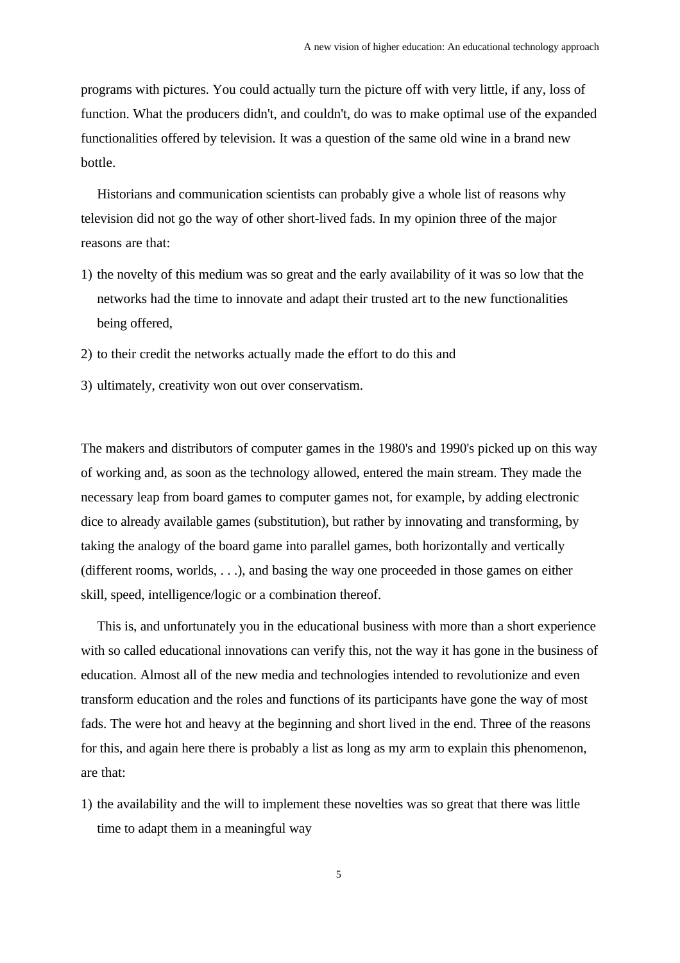programs with pictures. You could actually turn the picture off with very little, if any, loss of function. What the producers didn't, and couldn't, do was to make optimal use of the expanded functionalities offered by television. It was a question of the same old wine in a brand new bottle.

Historians and communication scientists can probably give a whole list of reasons why television did not go the way of other short-lived fads. In my opinion three of the major reasons are that:

- 1) the novelty of this medium was so great and the early availability of it was so low that the networks had the time to innovate and adapt their trusted art to the new functionalities being offered,
- 2) to their credit the networks actually made the effort to do this and
- 3) ultimately, creativity won out over conservatism.

The makers and distributors of computer games in the 1980's and 1990's picked up on this way of working and, as soon as the technology allowed, entered the main stream. They made the necessary leap from board games to computer games not, for example, by adding electronic dice to already available games (substitution), but rather by innovating and transforming, by taking the analogy of the board game into parallel games, both horizontally and vertically (different rooms, worlds, . . .), and basing the way one proceeded in those games on either skill, speed, intelligence/logic or a combination thereof.

This is, and unfortunately you in the educational business with more than a short experience with so called educational innovations can verify this, not the way it has gone in the business of education. Almost all of the new media and technologies intended to revolutionize and even transform education and the roles and functions of its participants have gone the way of most fads. The were hot and heavy at the beginning and short lived in the end. Three of the reasons for this, and again here there is probably a list as long as my arm to explain this phenomenon, are that:

1) the availability and the will to implement these novelties was so great that there was little time to adapt them in a meaningful way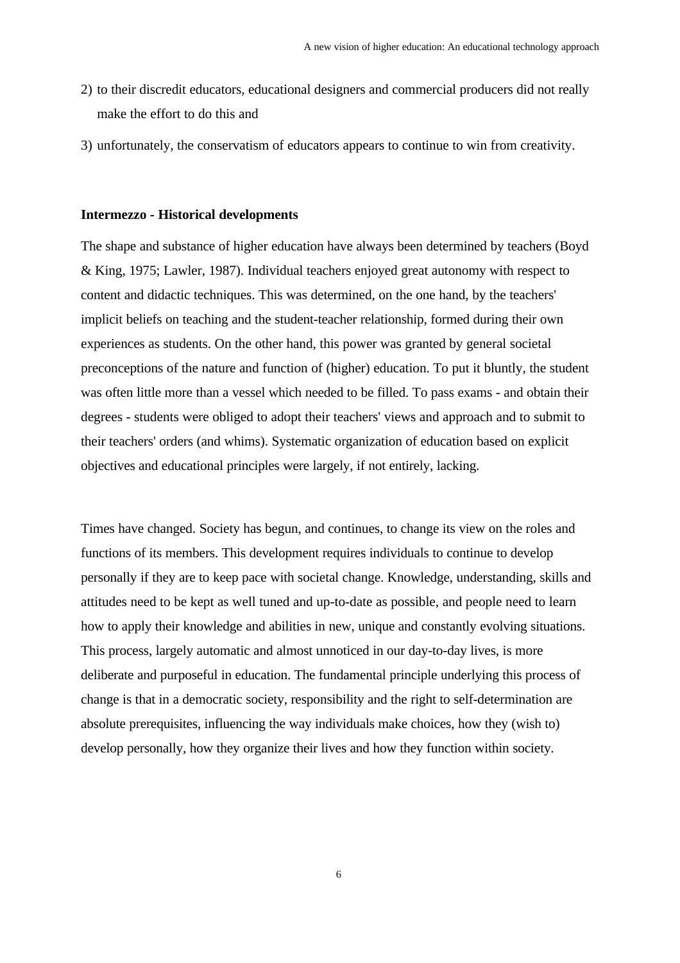- 2) to their discredit educators, educational designers and commercial producers did not really make the effort to do this and
- 3) unfortunately, the conservatism of educators appears to continue to win from creativity.

#### **Intermezzo - Historical developments**

The shape and substance of higher education have always been determined by teachers (Boyd & King, 1975; Lawler, 1987). Individual teachers enjoyed great autonomy with respect to content and didactic techniques. This was determined, on the one hand, by the teachers' implicit beliefs on teaching and the student-teacher relationship, formed during their own experiences as students. On the other hand, this power was granted by general societal preconceptions of the nature and function of (higher) education. To put it bluntly, the student was often little more than a vessel which needed to be filled. To pass exams - and obtain their degrees - students were obliged to adopt their teachers' views and approach and to submit to their teachers' orders (and whims). Systematic organization of education based on explicit objectives and educational principles were largely, if not entirely, lacking.

Times have changed. Society has begun, and continues, to change its view on the roles and functions of its members. This development requires individuals to continue to develop personally if they are to keep pace with societal change. Knowledge, understanding, skills and attitudes need to be kept as well tuned and up-to-date as possible, and people need to learn how to apply their knowledge and abilities in new, unique and constantly evolving situations. This process, largely automatic and almost unnoticed in our day-to-day lives, is more deliberate and purposeful in education. The fundamental principle underlying this process of change is that in a democratic society, responsibility and the right to self-determination are absolute prerequisites, influencing the way individuals make choices, how they (wish to) develop personally, how they organize their lives and how they function within society.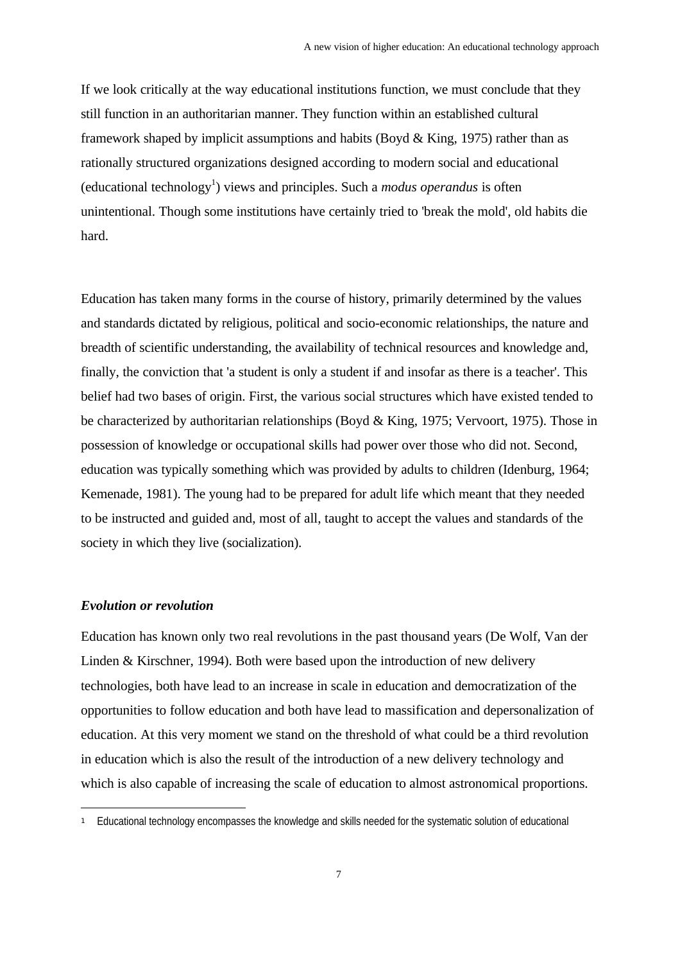If we look critically at the way educational institutions function, we must conclude that they still function in an authoritarian manner. They function within an established cultural framework shaped by implicit assumptions and habits (Boyd  $& King, 1975$ ) rather than as rationally structured organizations designed according to modern social and educational (educational technology<sup>1</sup>) views and principles. Such a *modus operandus* is often unintentional. Though some institutions have certainly tried to 'break the mold', old habits die hard.

Education has taken many forms in the course of history, primarily determined by the values and standards dictated by religious, political and socio-economic relationships, the nature and breadth of scientific understanding, the availability of technical resources and knowledge and, finally, the conviction that 'a student is only a student if and insofar as there is a teacher'. This belief had two bases of origin. First, the various social structures which have existed tended to be characterized by authoritarian relationships (Boyd & King, 1975; Vervoort, 1975). Those in possession of knowledge or occupational skills had power over those who did not. Second, education was typically something which was provided by adults to children (Idenburg, 1964; Kemenade, 1981). The young had to be prepared for adult life which meant that they needed to be instructed and guided and, most of all, taught to accept the values and standards of the society in which they live (socialization).

### *Evolution or revolution*

e<br>S

Education has known only two real revolutions in the past thousand years (De Wolf, Van der Linden & Kirschner, 1994). Both were based upon the introduction of new delivery technologies, both have lead to an increase in scale in education and democratization of the opportunities to follow education and both have lead to massification and depersonalization of education. At this very moment we stand on the threshold of what could be a third revolution in education which is also the result of the introduction of a new delivery technology and which is also capable of increasing the scale of education to almost astronomical proportions.

<sup>1</sup> Educational technology encompasses the knowledge and skills needed for the systematic solution of educational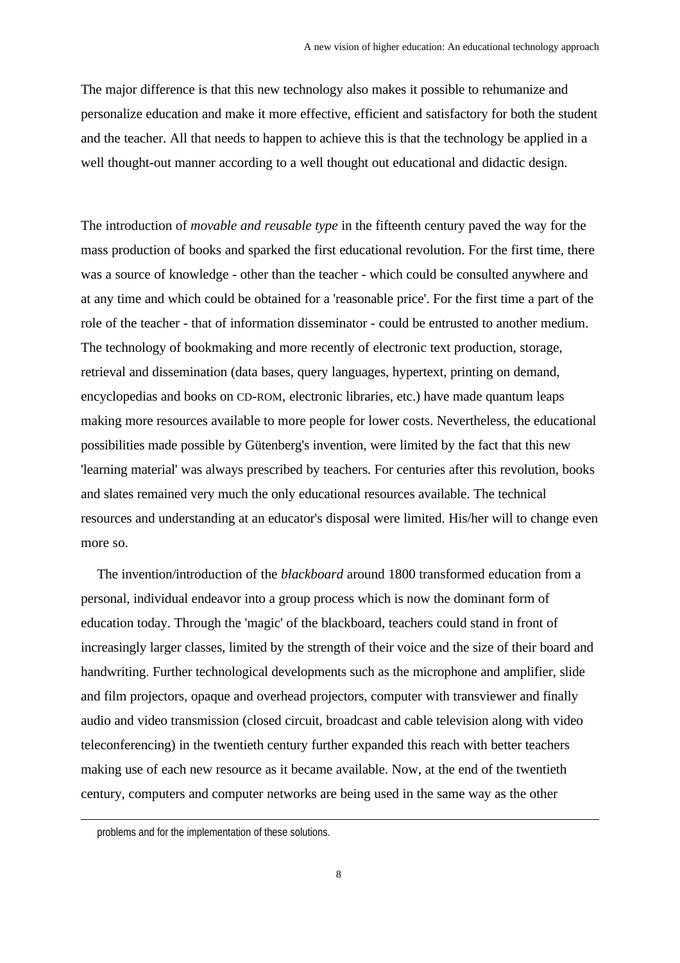The major difference is that this new technology also makes it possible to rehumanize and personalize education and make it more effective, efficient and satisfactory for both the student and the teacher. All that needs to happen to achieve this is that the technology be applied in a well thought-out manner according to a well thought out educational and didactic design.

The introduction of *movable and reusable type* in the fifteenth century paved the way for the mass production of books and sparked the first educational revolution. For the first time, there was a source of knowledge - other than the teacher - which could be consulted anywhere and at any time and which could be obtained for a 'reasonable price'. For the first time a part of the role of the teacher - that of information disseminator - could be entrusted to another medium. The technology of bookmaking and more recently of electronic text production, storage, retrieval and dissemination (data bases, query languages, hypertext, printing on demand, encyclopedias and books on CD-ROM, electronic libraries, etc.) have made quantum leaps making more resources available to more people for lower costs. Nevertheless, the educational possibilities made possible by Gütenberg's invention, were limited by the fact that this new 'learning material' was always prescribed by teachers. For centuries after this revolution, books and slates remained very much the only educational resources available. The technical resources and understanding at an educator's disposal were limited. His/her will to change even more so.

The invention/introduction of the *blackboard* around 1800 transformed education from a personal, individual endeavor into a group process which is now the dominant form of education today. Through the 'magic' of the blackboard, teachers could stand in front of increasingly larger classes, limited by the strength of their voice and the size of their board and handwriting. Further technological developments such as the microphone and amplifier, slide and film projectors, opaque and overhead projectors, computer with transviewer and finally audio and video transmission (closed circuit, broadcast and cable television along with video teleconferencing) in the twentieth century further expanded this reach with better teachers making use of each new resource as it became available. Now, at the end of the twentieth century, computers and computer networks are being used in the same way as the other

 $\overline{a}$ 

problems and for the implementation of these solutions.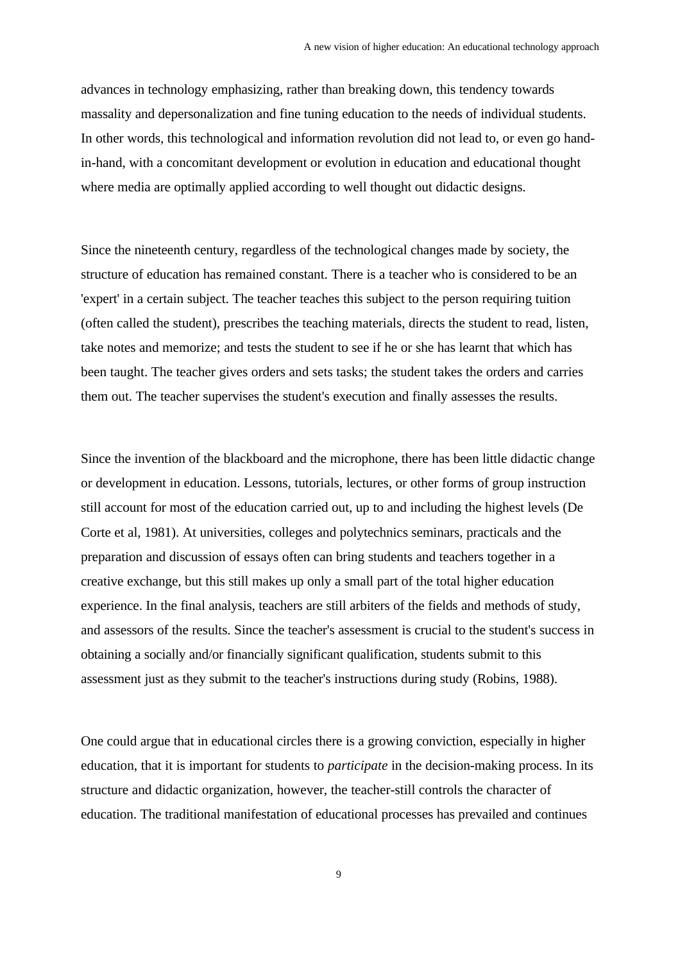advances in technology emphasizing, rather than breaking down, this tendency towards massality and depersonalization and fine tuning education to the needs of individual students. In other words, this technological and information revolution did not lead to, or even go handin-hand, with a concomitant development or evolution in education and educational thought where media are optimally applied according to well thought out didactic designs.

Since the nineteenth century, regardless of the technological changes made by society, the structure of education has remained constant. There is a teacher who is considered to be an 'expert' in a certain subject. The teacher teaches this subject to the person requiring tuition (often called the student), prescribes the teaching materials, directs the student to read, listen, take notes and memorize; and tests the student to see if he or she has learnt that which has been taught. The teacher gives orders and sets tasks; the student takes the orders and carries them out. The teacher supervises the student's execution and finally assesses the results.

Since the invention of the blackboard and the microphone, there has been little didactic change or development in education. Lessons, tutorials, lectures, or other forms of group instruction still account for most of the education carried out, up to and including the highest levels (De Corte et al, 1981). At universities, colleges and polytechnics seminars, practicals and the preparation and discussion of essays often can bring students and teachers together in a creative exchange, but this still makes up only a small part of the total higher education experience. In the final analysis, teachers are still arbiters of the fields and methods of study, and assessors of the results. Since the teacher's assessment is crucial to the student's success in obtaining a socially and/or financially significant qualification, students submit to this assessment just as they submit to the teacher's instructions during study (Robins, 1988).

One could argue that in educational circles there is a growing conviction, especially in higher education, that it is important for students to *participate* in the decision-making process. In its structure and didactic organization, however, the teacher-still controls the character of education. The traditional manifestation of educational processes has prevailed and continues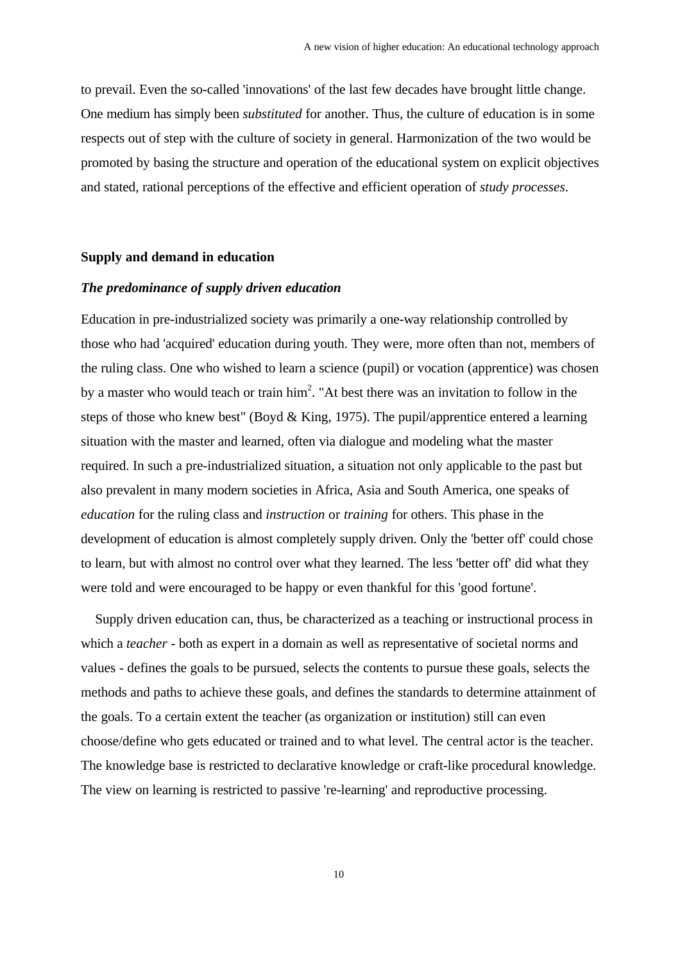to prevail. Even the so-called 'innovations' of the last few decades have brought little change. One medium has simply been *substituted* for another. Thus, the culture of education is in some respects out of step with the culture of society in general. Harmonization of the two would be promoted by basing the structure and operation of the educational system on explicit objectives and stated, rational perceptions of the effective and efficient operation of *study processes*.

### **Supply and demand in education**

### *The predominance of supply driven education*

Education in pre-industrialized society was primarily a one-way relationship controlled by those who had 'acquired' education during youth. They were, more often than not, members of the ruling class. One who wished to learn a science (pupil) or vocation (apprentice) was chosen by a master who would teach or train  $\text{him}^2$ . "At best there was an invitation to follow in the steps of those who knew best" (Boyd & King, 1975). The pupil/apprentice entered a learning situation with the master and learned, often via dialogue and modeling what the master required. In such a pre-industrialized situation, a situation not only applicable to the past but also prevalent in many modern societies in Africa, Asia and South America, one speaks of *education* for the ruling class and *instruction* or *training* for others. This phase in the development of education is almost completely supply driven. Only the 'better off' could chose to learn, but with almost no control over what they learned. The less 'better off' did what they were told and were encouraged to be happy or even thankful for this 'good fortune'.

Supply driven education can, thus, be characterized as a teaching or instructional process in which a *teacher* - both as expert in a domain as well as representative of societal norms and values - defines the goals to be pursued, selects the contents to pursue these goals, selects the methods and paths to achieve these goals, and defines the standards to determine attainment of the goals. To a certain extent the teacher (as organization or institution) still can even choose/define who gets educated or trained and to what level. The central actor is the teacher. The knowledge base is restricted to declarative knowledge or craft-like procedural knowledge. The view on learning is restricted to passive 're-learning' and reproductive processing.

10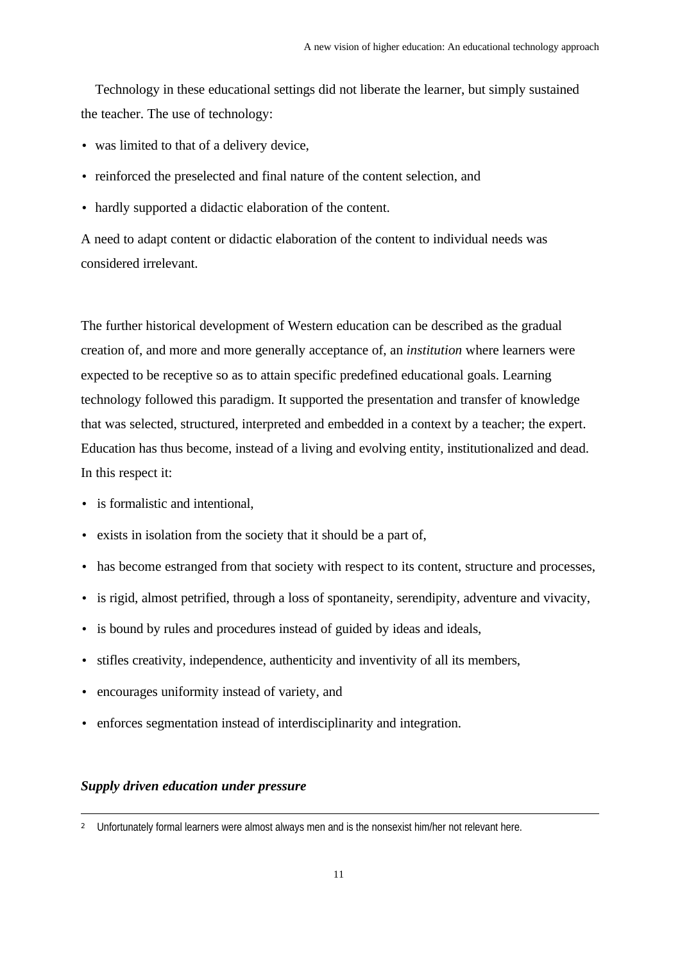Technology in these educational settings did not liberate the learner, but simply sustained the teacher. The use of technology:

- was limited to that of a delivery device,
- reinforced the preselected and final nature of the content selection, and
- hardly supported a didactic elaboration of the content.

A need to adapt content or didactic elaboration of the content to individual needs was considered irrelevant.

The further historical development of Western education can be described as the gradual creation of, and more and more generally acceptance of, an *institution* where learners were expected to be receptive so as to attain specific predefined educational goals. Learning technology followed this paradigm. It supported the presentation and transfer of knowledge that was selected, structured, interpreted and embedded in a context by a teacher; the expert. Education has thus become, instead of a living and evolving entity, institutionalized and dead. In this respect it:

- is formalistic and intentional,
- exists in isolation from the society that it should be a part of,
- has become estranged from that society with respect to its content, structure and processes,
- is rigid, almost petrified, through a loss of spontaneity, serendipity, adventure and vivacity,
- is bound by rules and procedures instead of guided by ideas and ideals,
- stifles creativity, independence, authenticity and inventivity of all its members,
- encourages uniformity instead of variety, and
- enforces segmentation instead of interdisciplinarity and integration.

# *Supply driven education under pressure*

 $\ddot{\phantom{a}}$ 

<sup>2</sup> Unfortunately formal learners were almost always men and is the nonsexist him/her not relevant here.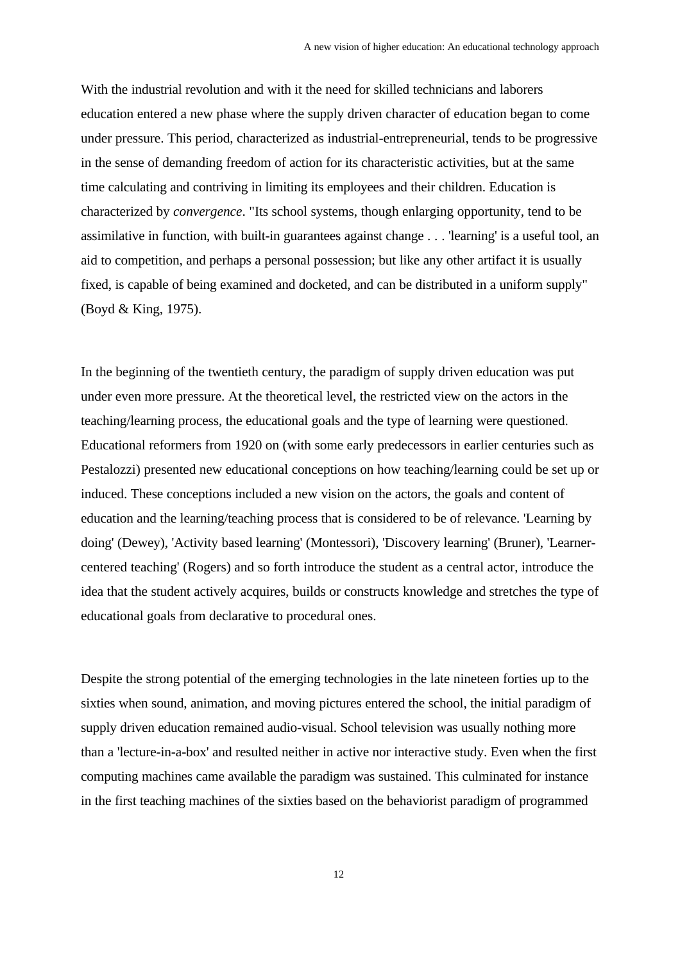With the industrial revolution and with it the need for skilled technicians and laborers education entered a new phase where the supply driven character of education began to come under pressure. This period, characterized as industrial-entrepreneurial, tends to be progressive in the sense of demanding freedom of action for its characteristic activities, but at the same time calculating and contriving in limiting its employees and their children. Education is characterized by *convergence*. "Its school systems, though enlarging opportunity, tend to be assimilative in function, with built-in guarantees against change . . . 'learning' is a useful tool, an aid to competition, and perhaps a personal possession; but like any other artifact it is usually fixed, is capable of being examined and docketed, and can be distributed in a uniform supply" (Boyd & King, 1975).

In the beginning of the twentieth century, the paradigm of supply driven education was put under even more pressure. At the theoretical level, the restricted view on the actors in the teaching/learning process, the educational goals and the type of learning were questioned. Educational reformers from 1920 on (with some early predecessors in earlier centuries such as Pestalozzi) presented new educational conceptions on how teaching/learning could be set up or induced. These conceptions included a new vision on the actors, the goals and content of education and the learning/teaching process that is considered to be of relevance. 'Learning by doing' (Dewey), 'Activity based learning' (Montessori), 'Discovery learning' (Bruner), 'Learnercentered teaching' (Rogers) and so forth introduce the student as a central actor, introduce the idea that the student actively acquires, builds or constructs knowledge and stretches the type of educational goals from declarative to procedural ones.

Despite the strong potential of the emerging technologies in the late nineteen forties up to the sixties when sound, animation, and moving pictures entered the school, the initial paradigm of supply driven education remained audio-visual. School television was usually nothing more than a 'lecture-in-a-box' and resulted neither in active nor interactive study. Even when the first computing machines came available the paradigm was sustained. This culminated for instance in the first teaching machines of the sixties based on the behaviorist paradigm of programmed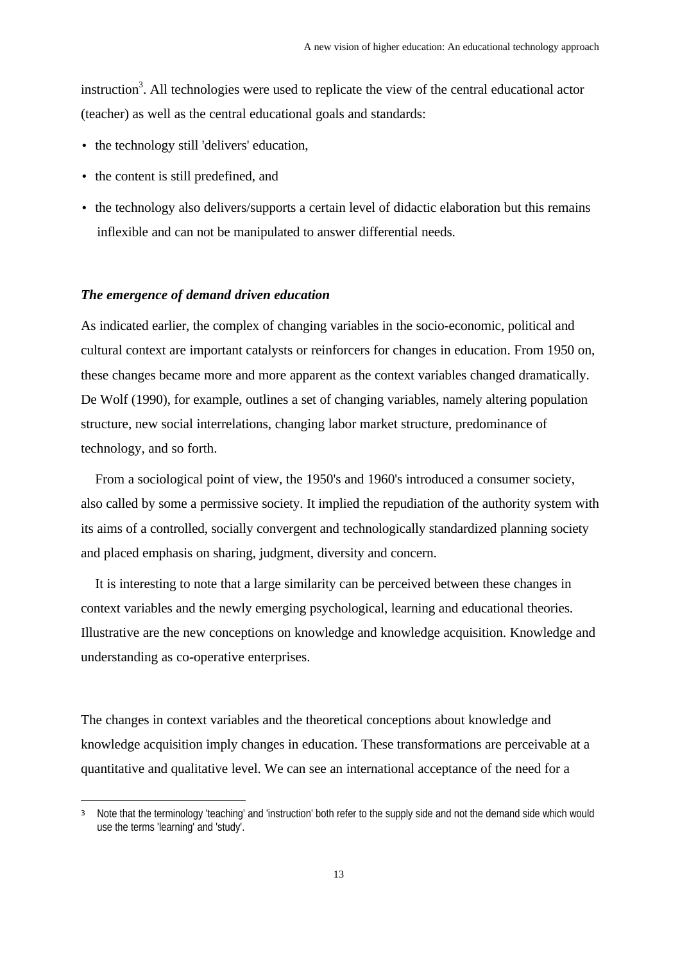instruction<sup>3</sup>. All technologies were used to replicate the view of the central educational actor (teacher) as well as the central educational goals and standards:

- the technology still 'delivers' education,
- the content is still predefined, and

e<br>S

• the technology also delivers/supports a certain level of didactic elaboration but this remains inflexible and can not be manipulated to answer differential needs.

# *The emergence of demand driven education*

As indicated earlier, the complex of changing variables in the socio-economic, political and cultural context are important catalysts or reinforcers for changes in education. From 1950 on, these changes became more and more apparent as the context variables changed dramatically. De Wolf (1990), for example, outlines a set of changing variables, namely altering population structure, new social interrelations, changing labor market structure, predominance of technology, and so forth.

From a sociological point of view, the 1950's and 1960's introduced a consumer society, also called by some a permissive society. It implied the repudiation of the authority system with its aims of a controlled, socially convergent and technologically standardized planning society and placed emphasis on sharing, judgment, diversity and concern.

It is interesting to note that a large similarity can be perceived between these changes in context variables and the newly emerging psychological, learning and educational theories. Illustrative are the new conceptions on knowledge and knowledge acquisition. Knowledge and understanding as co-operative enterprises.

The changes in context variables and the theoretical conceptions about knowledge and knowledge acquisition imply changes in education. These transformations are perceivable at a quantitative and qualitative level. We can see an international acceptance of the need for a

<sup>3</sup> Note that the terminology 'teaching' and 'instruction' both refer to the supply side and not the demand side which would use the terms 'learning' and 'study'.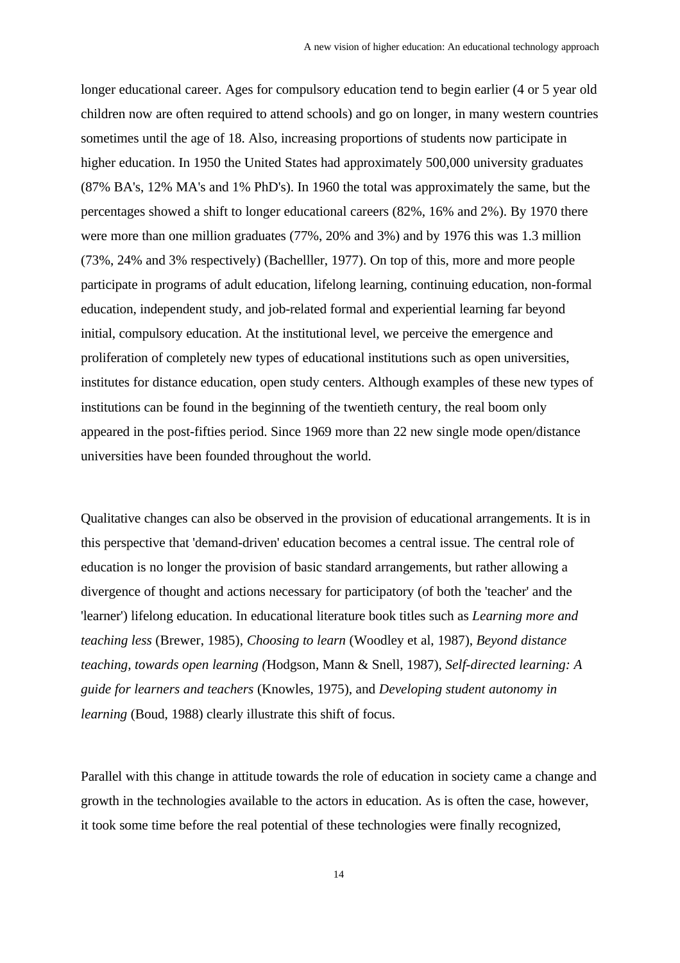longer educational career. Ages for compulsory education tend to begin earlier (4 or 5 year old children now are often required to attend schools) and go on longer, in many western countries sometimes until the age of 18. Also, increasing proportions of students now participate in higher education. In 1950 the United States had approximately 500,000 university graduates (87% BA's, 12% MA's and 1% PhD's). In 1960 the total was approximately the same, but the percentages showed a shift to longer educational careers (82%, 16% and 2%). By 1970 there were more than one million graduates (77%, 20% and 3%) and by 1976 this was 1.3 million (73%, 24% and 3% respectively) (Bachelller, 1977). On top of this, more and more people participate in programs of adult education, lifelong learning, continuing education, non-formal education, independent study, and job-related formal and experiential learning far beyond initial, compulsory education. At the institutional level, we perceive the emergence and proliferation of completely new types of educational institutions such as open universities, institutes for distance education, open study centers. Although examples of these new types of institutions can be found in the beginning of the twentieth century, the real boom only appeared in the post-fifties period. Since 1969 more than 22 new single mode open/distance universities have been founded throughout the world.

Qualitative changes can also be observed in the provision of educational arrangements. It is in this perspective that 'demand-driven' education becomes a central issue. The central role of education is no longer the provision of basic standard arrangements, but rather allowing a divergence of thought and actions necessary for participatory (of both the 'teacher' and the 'learner') lifelong education. In educational literature book titles such as *Learning more and teaching less* (Brewer, 1985), *Choosing to learn* (Woodley et al, 1987), *Beyond distance teaching, towards open learning (*Hodgson, Mann & Snell, 1987), *Self-directed learning: A guide for learners and teachers* (Knowles, 1975), and *Developing student autonomy in learning* (Boud, 1988) clearly illustrate this shift of focus.

Parallel with this change in attitude towards the role of education in society came a change and growth in the technologies available to the actors in education. As is often the case, however, it took some time before the real potential of these technologies were finally recognized,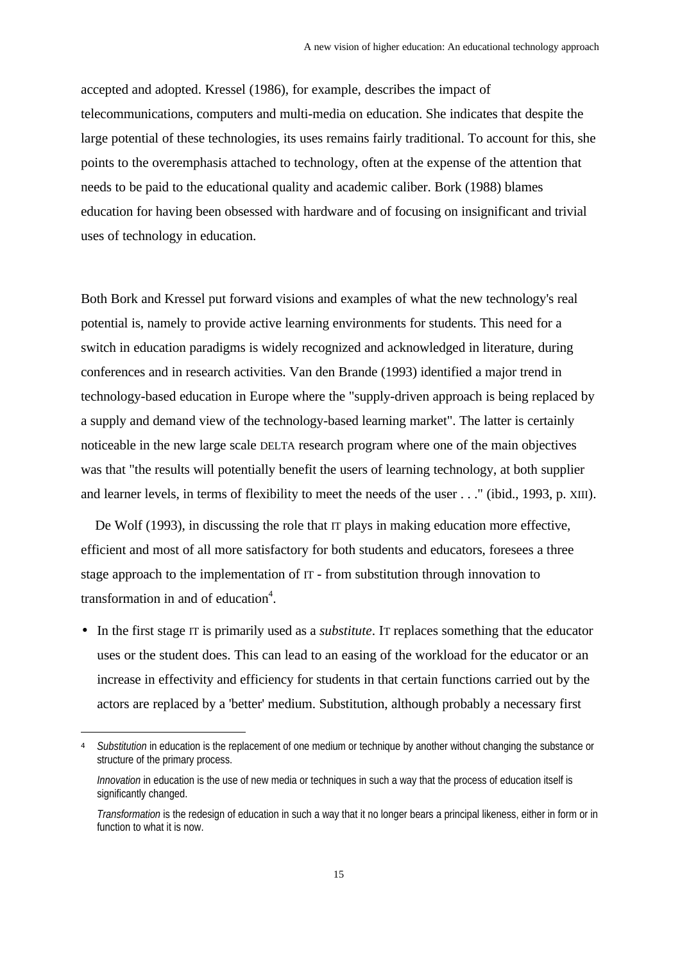accepted and adopted. Kressel (1986), for example, describes the impact of telecommunications, computers and multi-media on education. She indicates that despite the large potential of these technologies, its uses remains fairly traditional. To account for this, she points to the overemphasis attached to technology, often at the expense of the attention that needs to be paid to the educational quality and academic caliber. Bork (1988) blames education for having been obsessed with hardware and of focusing on insignificant and trivial uses of technology in education.

Both Bork and Kressel put forward visions and examples of what the new technology's real potential is, namely to provide active learning environments for students. This need for a switch in education paradigms is widely recognized and acknowledged in literature, during conferences and in research activities. Van den Brande (1993) identified a major trend in technology-based education in Europe where the "supply-driven approach is being replaced by a supply and demand view of the technology-based learning market". The latter is certainly noticeable in the new large scale DELTA research program where one of the main objectives was that "the results will potentially benefit the users of learning technology, at both supplier and learner levels, in terms of flexibility to meet the needs of the user . . ." (ibid., 1993, p. XIII).

De Wolf (1993), in discussing the role that IT plays in making education more effective, efficient and most of all more satisfactory for both students and educators, foresees a three stage approach to the implementation of IT - from substitution through innovation to transformation in and of education<sup>4</sup>.

• In the first stage IT is primarily used as a *substitute*. IT replaces something that the educator uses or the student does. This can lead to an easing of the workload for the educator or an increase in effectivity and efficiency for students in that certain functions carried out by the actors are replaced by a 'better' medium. Substitution, although probably a necessary first

i

<sup>4</sup> *Substitution* in education is the replacement of one medium or technique by another without changing the substance or structure of the primary process.

*Innovation* in education is the use of new media or techniques in such a way that the process of education itself is significantly changed.

*Transformation* is the redesign of education in such a way that it no longer bears a principal likeness, either in form or in function to what it is now.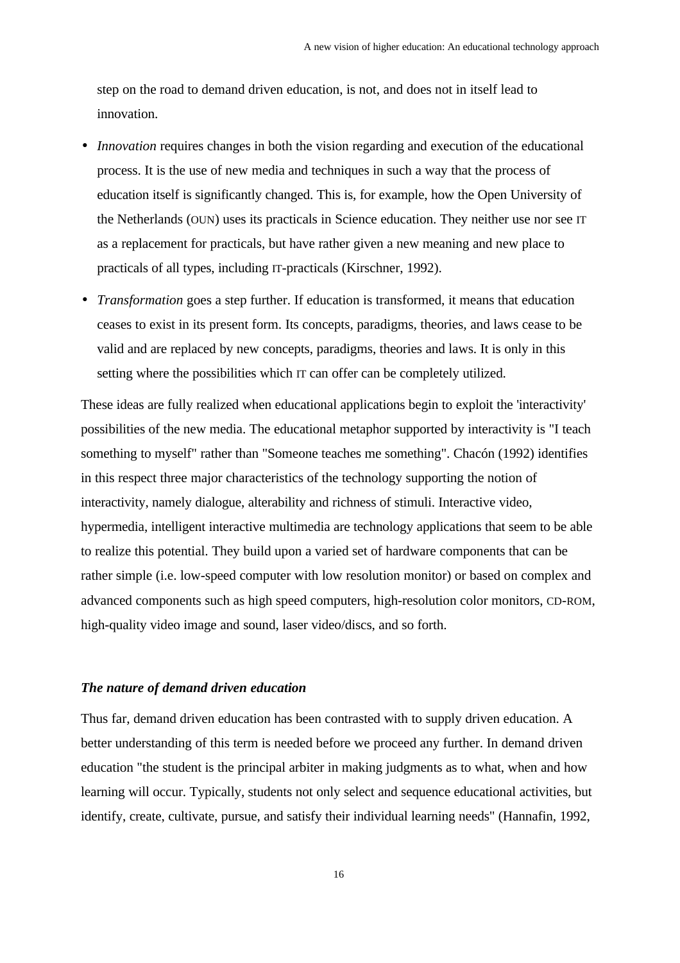step on the road to demand driven education, is not, and does not in itself lead to innovation.

- *Innovation* requires changes in both the vision regarding and execution of the educational process. It is the use of new media and techniques in such a way that the process of education itself is significantly changed. This is, for example, how the Open University of the Netherlands (OUN) uses its practicals in Science education. They neither use nor see IT as a replacement for practicals, but have rather given a new meaning and new place to practicals of all types, including IT-practicals (Kirschner, 1992).
- *Transformation* goes a step further. If education is transformed, it means that education ceases to exist in its present form. Its concepts, paradigms, theories, and laws cease to be valid and are replaced by new concepts, paradigms, theories and laws. It is only in this setting where the possibilities which IT can offer can be completely utilized.

These ideas are fully realized when educational applications begin to exploit the 'interactivity' possibilities of the new media. The educational metaphor supported by interactivity is "I teach something to myself" rather than "Someone teaches me something". Chacón (1992) identifies in this respect three major characteristics of the technology supporting the notion of interactivity, namely dialogue, alterability and richness of stimuli. Interactive video, hypermedia, intelligent interactive multimedia are technology applications that seem to be able to realize this potential. They build upon a varied set of hardware components that can be rather simple (i.e. low-speed computer with low resolution monitor) or based on complex and advanced components such as high speed computers, high-resolution color monitors, CD-ROM, high-quality video image and sound, laser video/discs, and so forth.

# *The nature of demand driven education*

Thus far, demand driven education has been contrasted with to supply driven education. A better understanding of this term is needed before we proceed any further. In demand driven education "the student is the principal arbiter in making judgments as to what, when and how learning will occur. Typically, students not only select and sequence educational activities, but identify, create, cultivate, pursue, and satisfy their individual learning needs" (Hannafin, 1992,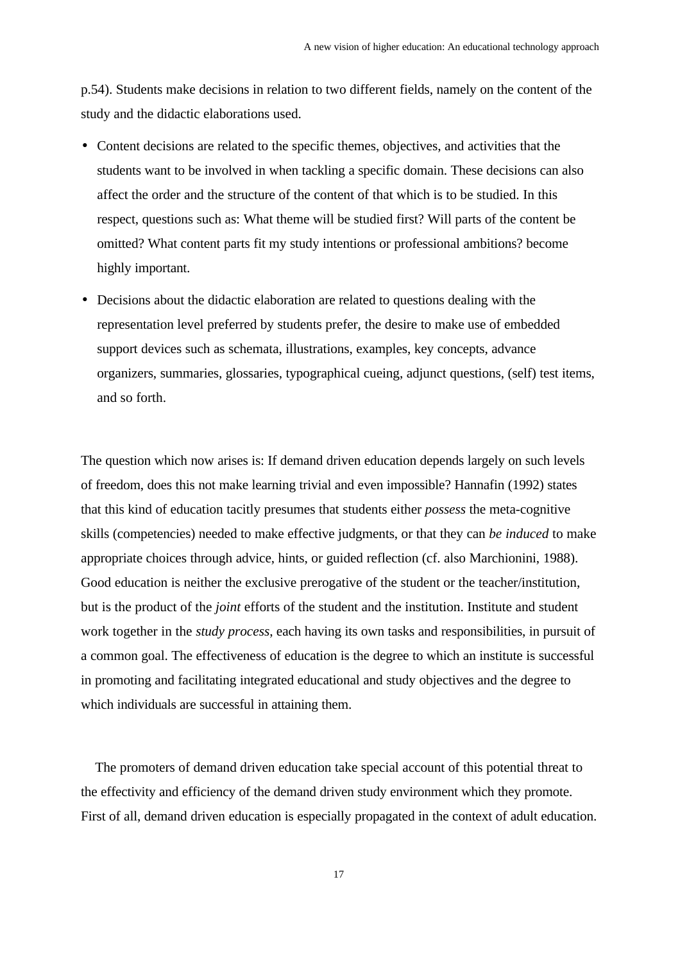p.54). Students make decisions in relation to two different fields, namely on the content of the study and the didactic elaborations used.

- Content decisions are related to the specific themes, objectives, and activities that the students want to be involved in when tackling a specific domain. These decisions can also affect the order and the structure of the content of that which is to be studied. In this respect, questions such as: What theme will be studied first? Will parts of the content be omitted? What content parts fit my study intentions or professional ambitions? become highly important.
- Decisions about the didactic elaboration are related to questions dealing with the representation level preferred by students prefer, the desire to make use of embedded support devices such as schemata, illustrations, examples, key concepts, advance organizers, summaries, glossaries, typographical cueing, adjunct questions, (self) test items, and so forth.

The question which now arises is: If demand driven education depends largely on such levels of freedom, does this not make learning trivial and even impossible? Hannafin (1992) states that this kind of education tacitly presumes that students either *possess* the meta-cognitive skills (competencies) needed to make effective judgments, or that they can *be induced* to make appropriate choices through advice, hints, or guided reflection (cf. also Marchionini, 1988). Good education is neither the exclusive prerogative of the student or the teacher/institution, but is the product of the *joint* efforts of the student and the institution. Institute and student work together in the *study process*, each having its own tasks and responsibilities, in pursuit of a common goal. The effectiveness of education is the degree to which an institute is successful in promoting and facilitating integrated educational and study objectives and the degree to which individuals are successful in attaining them.

The promoters of demand driven education take special account of this potential threat to the effectivity and efficiency of the demand driven study environment which they promote. First of all, demand driven education is especially propagated in the context of adult education.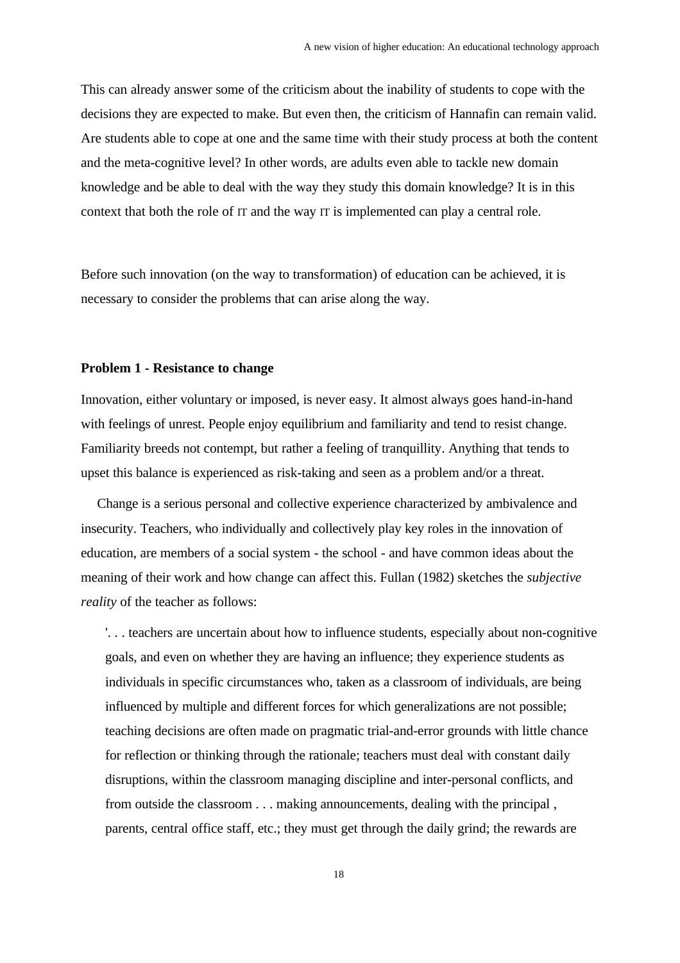This can already answer some of the criticism about the inability of students to cope with the decisions they are expected to make. But even then, the criticism of Hannafin can remain valid. Are students able to cope at one and the same time with their study process at both the content and the meta-cognitive level? In other words, are adults even able to tackle new domain knowledge and be able to deal with the way they study this domain knowledge? It is in this context that both the role of IT and the way IT is implemented can play a central role.

Before such innovation (on the way to transformation) of education can be achieved, it is necessary to consider the problems that can arise along the way.

# **Problem 1 - Resistance to change**

Innovation, either voluntary or imposed, is never easy. It almost always goes hand-in-hand with feelings of unrest. People enjoy equilibrium and familiarity and tend to resist change. Familiarity breeds not contempt, but rather a feeling of tranquillity. Anything that tends to upset this balance is experienced as risk-taking and seen as a problem and/or a threat.

Change is a serious personal and collective experience characterized by ambivalence and insecurity. Teachers, who individually and collectively play key roles in the innovation of education, are members of a social system - the school - and have common ideas about the meaning of their work and how change can affect this. Fullan (1982) sketches the *subjective reality* of the teacher as follows:

'. . . teachers are uncertain about how to influence students, especially about non-cognitive goals, and even on whether they are having an influence; they experience students as individuals in specific circumstances who, taken as a classroom of individuals, are being influenced by multiple and different forces for which generalizations are not possible; teaching decisions are often made on pragmatic trial-and-error grounds with little chance for reflection or thinking through the rationale; teachers must deal with constant daily disruptions, within the classroom managing discipline and inter-personal conflicts, and from outside the classroom . . . making announcements, dealing with the principal , parents, central office staff, etc.; they must get through the daily grind; the rewards are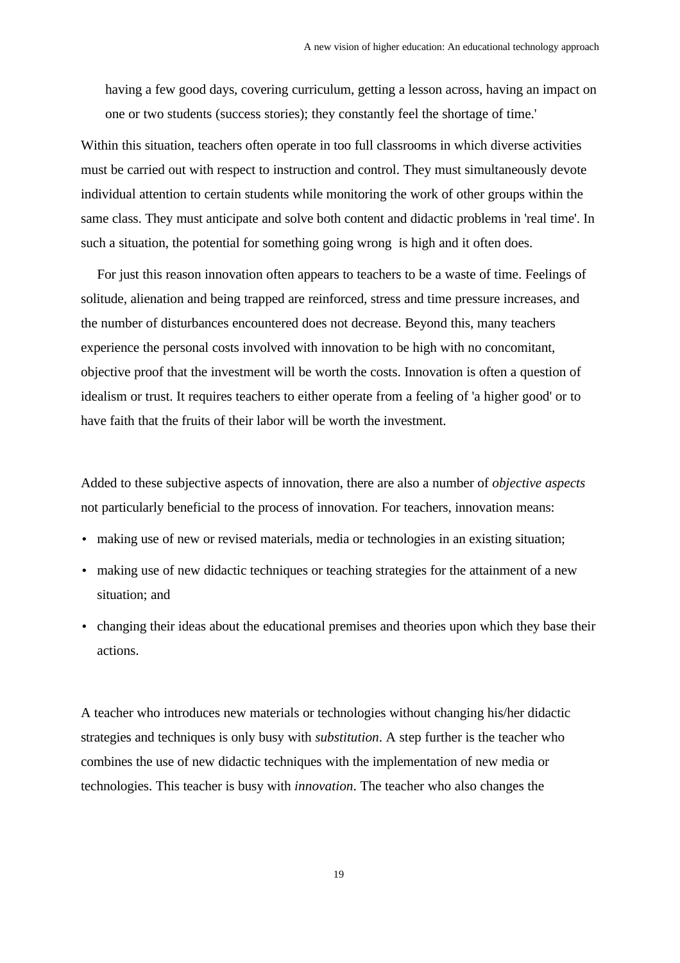having a few good days, covering curriculum, getting a lesson across, having an impact on one or two students (success stories); they constantly feel the shortage of time.'

Within this situation, teachers often operate in too full classrooms in which diverse activities must be carried out with respect to instruction and control. They must simultaneously devote individual attention to certain students while monitoring the work of other groups within the same class. They must anticipate and solve both content and didactic problems in 'real time'. In such a situation, the potential for something going wrong is high and it often does.

For just this reason innovation often appears to teachers to be a waste of time. Feelings of solitude, alienation and being trapped are reinforced, stress and time pressure increases, and the number of disturbances encountered does not decrease. Beyond this, many teachers experience the personal costs involved with innovation to be high with no concomitant, objective proof that the investment will be worth the costs. Innovation is often a question of idealism or trust. It requires teachers to either operate from a feeling of 'a higher good' or to have faith that the fruits of their labor will be worth the investment.

Added to these subjective aspects of innovation, there are also a number of *objective aspects* not particularly beneficial to the process of innovation. For teachers, innovation means:

- making use of new or revised materials, media or technologies in an existing situation;
- making use of new didactic techniques or teaching strategies for the attainment of a new situation; and
- changing their ideas about the educational premises and theories upon which they base their actions.

A teacher who introduces new materials or technologies without changing his/her didactic strategies and techniques is only busy with *substitution*. A step further is the teacher who combines the use of new didactic techniques with the implementation of new media or technologies. This teacher is busy with *innovation*. The teacher who also changes the

19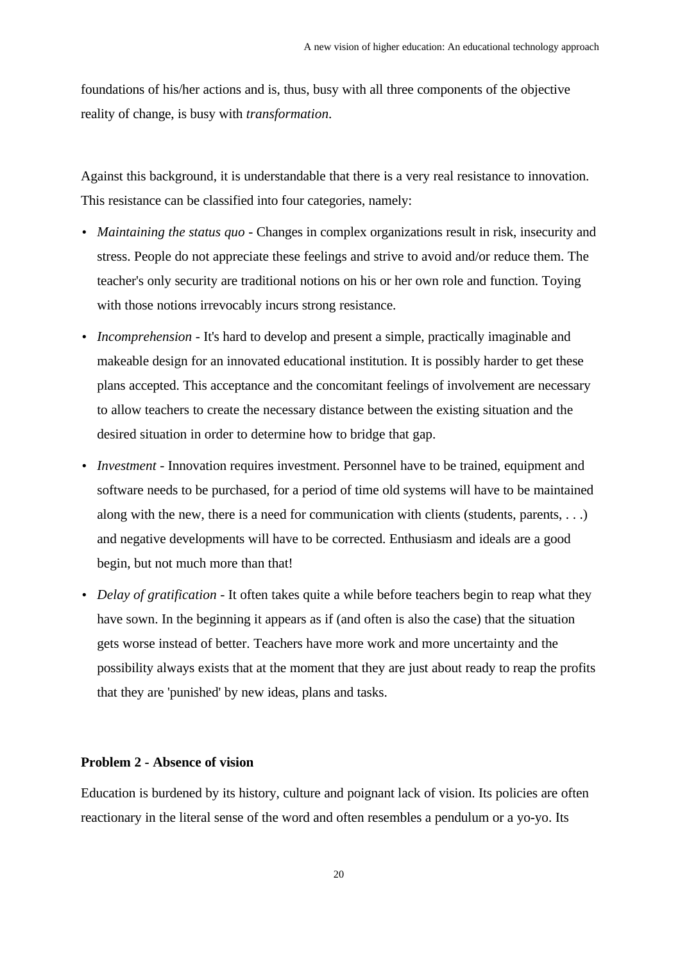foundations of his/her actions and is, thus, busy with all three components of the objective reality of change, is busy with *transformation*.

Against this background, it is understandable that there is a very real resistance to innovation. This resistance can be classified into four categories, namely:

- *Maintaining the status quo* Changes in complex organizations result in risk, insecurity and stress. People do not appreciate these feelings and strive to avoid and/or reduce them. The teacher's only security are traditional notions on his or her own role and function. Toying with those notions irrevocably incurs strong resistance.
- *Incomprehension* It's hard to develop and present a simple, practically imaginable and makeable design for an innovated educational institution. It is possibly harder to get these plans accepted. This acceptance and the concomitant feelings of involvement are necessary to allow teachers to create the necessary distance between the existing situation and the desired situation in order to determine how to bridge that gap.
- *Investment* Innovation requires investment. Personnel have to be trained, equipment and software needs to be purchased, for a period of time old systems will have to be maintained along with the new, there is a need for communication with clients (students, parents, . . .) and negative developments will have to be corrected. Enthusiasm and ideals are a good begin, but not much more than that!
- *Delay of gratification* It often takes quite a while before teachers begin to reap what they have sown. In the beginning it appears as if (and often is also the case) that the situation gets worse instead of better. Teachers have more work and more uncertainty and the possibility always exists that at the moment that they are just about ready to reap the profits that they are 'punished' by new ideas, plans and tasks.

# **Problem 2 - Absence of vision**

Education is burdened by its history, culture and poignant lack of vision. Its policies are often reactionary in the literal sense of the word and often resembles a pendulum or a yo-yo. Its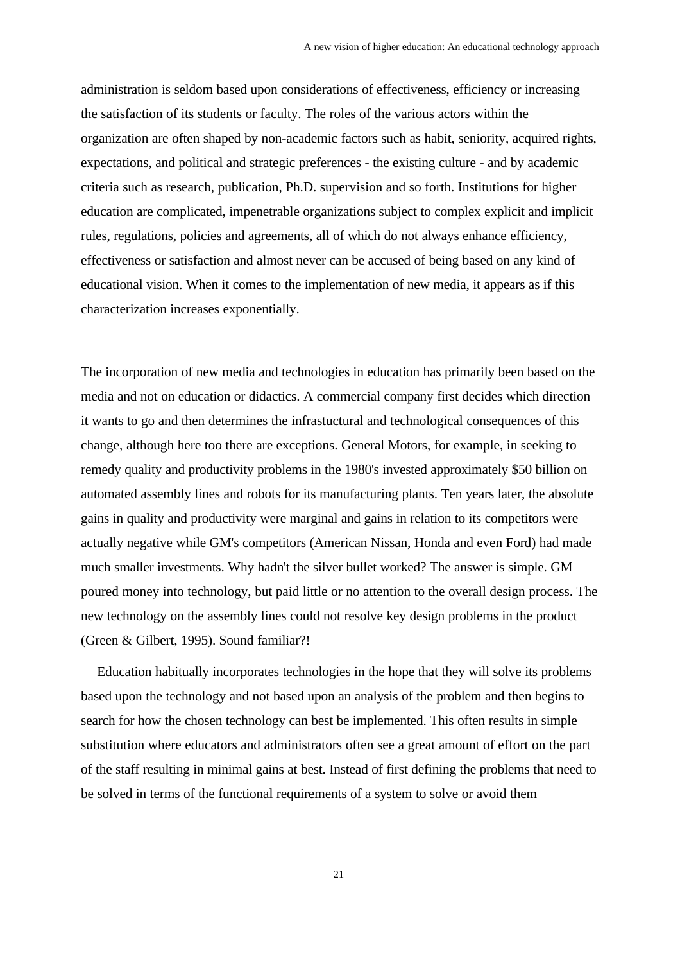administration is seldom based upon considerations of effectiveness, efficiency or increasing the satisfaction of its students or faculty. The roles of the various actors within the organization are often shaped by non-academic factors such as habit, seniority, acquired rights, expectations, and political and strategic preferences - the existing culture - and by academic criteria such as research, publication, Ph.D. supervision and so forth. Institutions for higher education are complicated, impenetrable organizations subject to complex explicit and implicit rules, regulations, policies and agreements, all of which do not always enhance efficiency, effectiveness or satisfaction and almost never can be accused of being based on any kind of educational vision. When it comes to the implementation of new media, it appears as if this characterization increases exponentially.

The incorporation of new media and technologies in education has primarily been based on the media and not on education or didactics. A commercial company first decides which direction it wants to go and then determines the infrastuctural and technological consequences of this change, although here too there are exceptions. General Motors, for example, in seeking to remedy quality and productivity problems in the 1980's invested approximately \$50 billion on automated assembly lines and robots for its manufacturing plants. Ten years later, the absolute gains in quality and productivity were marginal and gains in relation to its competitors were actually negative while GM's competitors (American Nissan, Honda and even Ford) had made much smaller investments. Why hadn't the silver bullet worked? The answer is simple. GM poured money into technology, but paid little or no attention to the overall design process. The new technology on the assembly lines could not resolve key design problems in the product (Green & Gilbert, 1995). Sound familiar?!

Education habitually incorporates technologies in the hope that they will solve its problems based upon the technology and not based upon an analysis of the problem and then begins to search for how the chosen technology can best be implemented. This often results in simple substitution where educators and administrators often see a great amount of effort on the part of the staff resulting in minimal gains at best. Instead of first defining the problems that need to be solved in terms of the functional requirements of a system to solve or avoid them

 $21$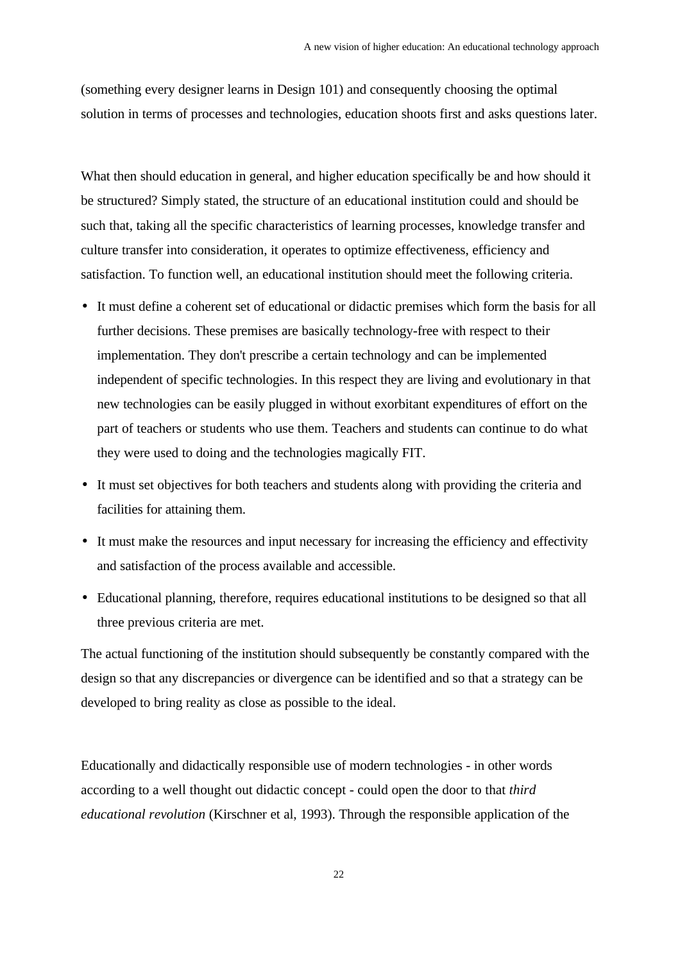(something every designer learns in Design 101) and consequently choosing the optimal solution in terms of processes and technologies, education shoots first and asks questions later.

What then should education in general, and higher education specifically be and how should it be structured? Simply stated, the structure of an educational institution could and should be such that, taking all the specific characteristics of learning processes, knowledge transfer and culture transfer into consideration, it operates to optimize effectiveness, efficiency and satisfaction. To function well, an educational institution should meet the following criteria.

- It must define a coherent set of educational or didactic premises which form the basis for all further decisions. These premises are basically technology-free with respect to their implementation. They don't prescribe a certain technology and can be implemented independent of specific technologies. In this respect they are living and evolutionary in that new technologies can be easily plugged in without exorbitant expenditures of effort on the part of teachers or students who use them. Teachers and students can continue to do what they were used to doing and the technologies magically FIT.
- It must set objectives for both teachers and students along with providing the criteria and facilities for attaining them.
- It must make the resources and input necessary for increasing the efficiency and effectivity and satisfaction of the process available and accessible.
- Educational planning, therefore, requires educational institutions to be designed so that all three previous criteria are met.

The actual functioning of the institution should subsequently be constantly compared with the design so that any discrepancies or divergence can be identified and so that a strategy can be developed to bring reality as close as possible to the ideal.

Educationally and didactically responsible use of modern technologies - in other words according to a well thought out didactic concept - could open the door to that *third educational revolution* (Kirschner et al, 1993). Through the responsible application of the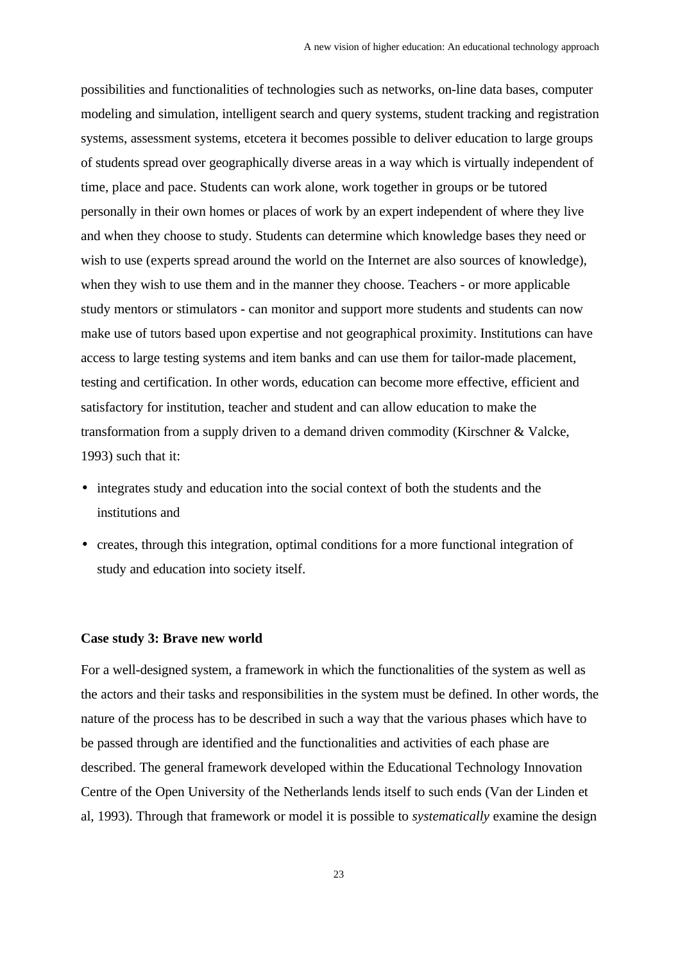possibilities and functionalities of technologies such as networks, on-line data bases, computer modeling and simulation, intelligent search and query systems, student tracking and registration systems, assessment systems, etcetera it becomes possible to deliver education to large groups of students spread over geographically diverse areas in a way which is virtually independent of time, place and pace. Students can work alone, work together in groups or be tutored personally in their own homes or places of work by an expert independent of where they live and when they choose to study. Students can determine which knowledge bases they need or wish to use (experts spread around the world on the Internet are also sources of knowledge), when they wish to use them and in the manner they choose. Teachers - or more applicable study mentors or stimulators - can monitor and support more students and students can now make use of tutors based upon expertise and not geographical proximity. Institutions can have access to large testing systems and item banks and can use them for tailor-made placement, testing and certification. In other words, education can become more effective, efficient and satisfactory for institution, teacher and student and can allow education to make the transformation from a supply driven to a demand driven commodity (Kirschner & Valcke, 1993) such that it:

- integrates study and education into the social context of both the students and the institutions and
- creates, through this integration, optimal conditions for a more functional integration of study and education into society itself.

#### **Case study 3: Brave new world**

For a well-designed system, a framework in which the functionalities of the system as well as the actors and their tasks and responsibilities in the system must be defined. In other words, the nature of the process has to be described in such a way that the various phases which have to be passed through are identified and the functionalities and activities of each phase are described. The general framework developed within the Educational Technology Innovation Centre of the Open University of the Netherlands lends itself to such ends (Van der Linden et al, 1993). Through that framework or model it is possible to *systematically* examine the design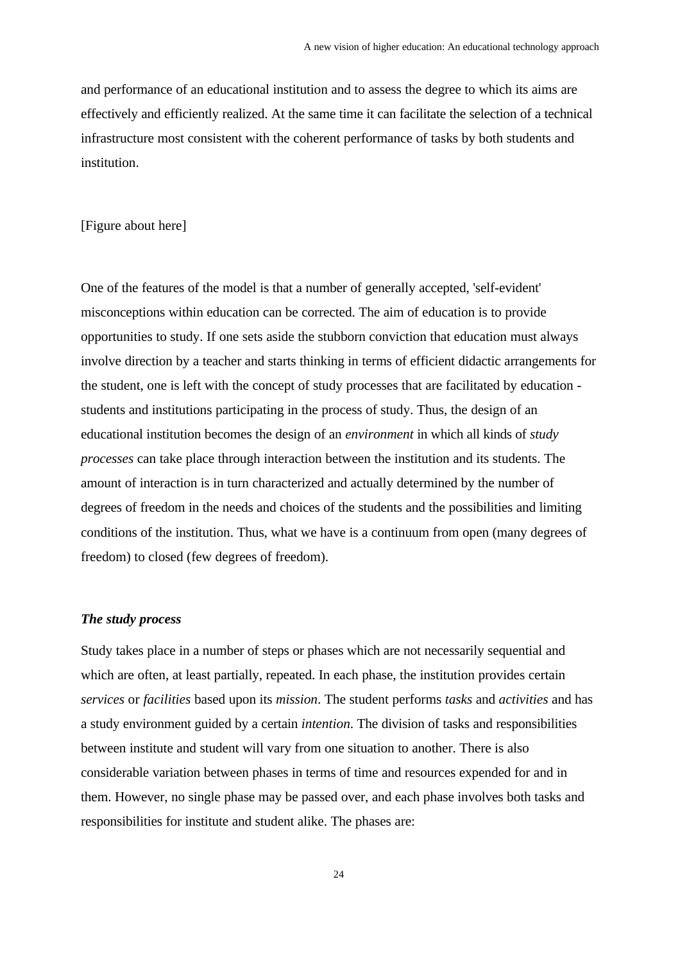and performance of an educational institution and to assess the degree to which its aims are effectively and efficiently realized. At the same time it can facilitate the selection of a technical infrastructure most consistent with the coherent performance of tasks by both students and institution.

# [Figure about here]

One of the features of the model is that a number of generally accepted, 'self-evident' misconceptions within education can be corrected. The aim of education is to provide opportunities to study. If one sets aside the stubborn conviction that education must always involve direction by a teacher and starts thinking in terms of efficient didactic arrangements for the student, one is left with the concept of study processes that are facilitated by education students and institutions participating in the process of study. Thus, the design of an educational institution becomes the design of an *environment* in which all kinds of *study processes* can take place through interaction between the institution and its students. The amount of interaction is in turn characterized and actually determined by the number of degrees of freedom in the needs and choices of the students and the possibilities and limiting conditions of the institution. Thus, what we have is a continuum from open (many degrees of freedom) to closed (few degrees of freedom).

# *The study process*

Study takes place in a number of steps or phases which are not necessarily sequential and which are often, at least partially, repeated. In each phase, the institution provides certain *services* or *facilities* based upon its *mission*. The student performs *tasks* and *activities* and has a study environment guided by a certain *intention*. The division of tasks and responsibilities between institute and student will vary from one situation to another. There is also considerable variation between phases in terms of time and resources expended for and in them. However, no single phase may be passed over, and each phase involves both tasks and responsibilities for institute and student alike. The phases are: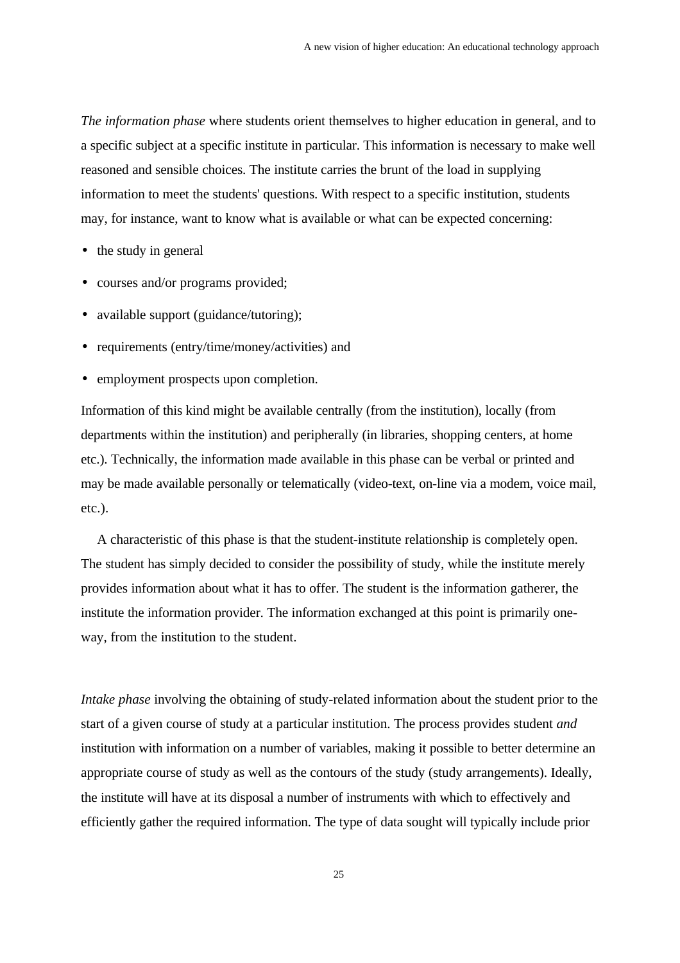*The information phase* where students orient themselves to higher education in general, and to a specific subject at a specific institute in particular. This information is necessary to make well reasoned and sensible choices. The institute carries the brunt of the load in supplying information to meet the students' questions. With respect to a specific institution, students may, for instance, want to know what is available or what can be expected concerning:

- the study in general
- courses and/or programs provided;
- available support (guidance/tutoring);
- requirements (entry/time/money/activities) and
- employment prospects upon completion.

Information of this kind might be available centrally (from the institution), locally (from departments within the institution) and peripherally (in libraries, shopping centers, at home etc.). Technically, the information made available in this phase can be verbal or printed and may be made available personally or telematically (video-text, on-line via a modem, voice mail, etc.).

A characteristic of this phase is that the student-institute relationship is completely open. The student has simply decided to consider the possibility of study, while the institute merely provides information about what it has to offer. The student is the information gatherer, the institute the information provider. The information exchanged at this point is primarily oneway, from the institution to the student.

*Intake phase* involving the obtaining of study-related information about the student prior to the start of a given course of study at a particular institution. The process provides student *and* institution with information on a number of variables, making it possible to better determine an appropriate course of study as well as the contours of the study (study arrangements). Ideally, the institute will have at its disposal a number of instruments with which to effectively and efficiently gather the required information. The type of data sought will typically include prior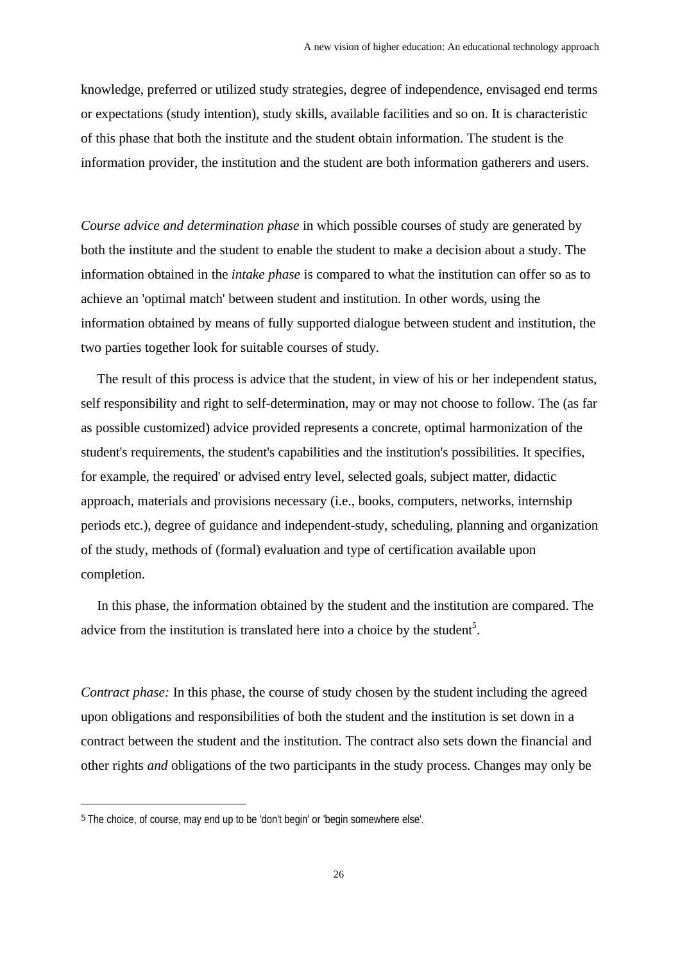knowledge, preferred or utilized study strategies, degree of independence, envisaged end terms or expectations (study intention), study skills, available facilities and so on. It is characteristic of this phase that both the institute and the student obtain information. The student is the information provider, the institution and the student are both information gatherers and users.

*Course advice and determination phase* in which possible courses of study are generated by both the institute and the student to enable the student to make a decision about a study. The information obtained in the *intake phase* is compared to what the institution can offer so as to achieve an 'optimal match' between student and institution. In other words, using the information obtained by means of fully supported dialogue between student and institution, the two parties together look for suitable courses of study.

The result of this process is advice that the student, in view of his or her independent status, self responsibility and right to self-determination, may or may not choose to follow. The (as far as possible customized) advice provided represents a concrete, optimal harmonization of the student's requirements, the student's capabilities and the institution's possibilities. It specifies, for example, the required' or advised entry level, selected goals, subject matter, didactic approach, materials and provisions necessary (i.e., books, computers, networks, internship periods etc.), degree of guidance and independent-study, scheduling, planning and organization of the study, methods of (formal) evaluation and type of certification available upon completion.

In this phase, the information obtained by the student and the institution are compared. The advice from the institution is translated here into a choice by the student<sup>5</sup>.

*Contract phase:* In this phase, the course of study chosen by the student including the agreed upon obligations and responsibilities of both the student and the institution is set down in a contract between the student and the institution. The contract also sets down the financial and other rights *and* obligations of the two participants in the study process. Changes may only be

i

<sup>5</sup> The choice, of course, may end up to be 'don't begin' or 'begin somewhere else'.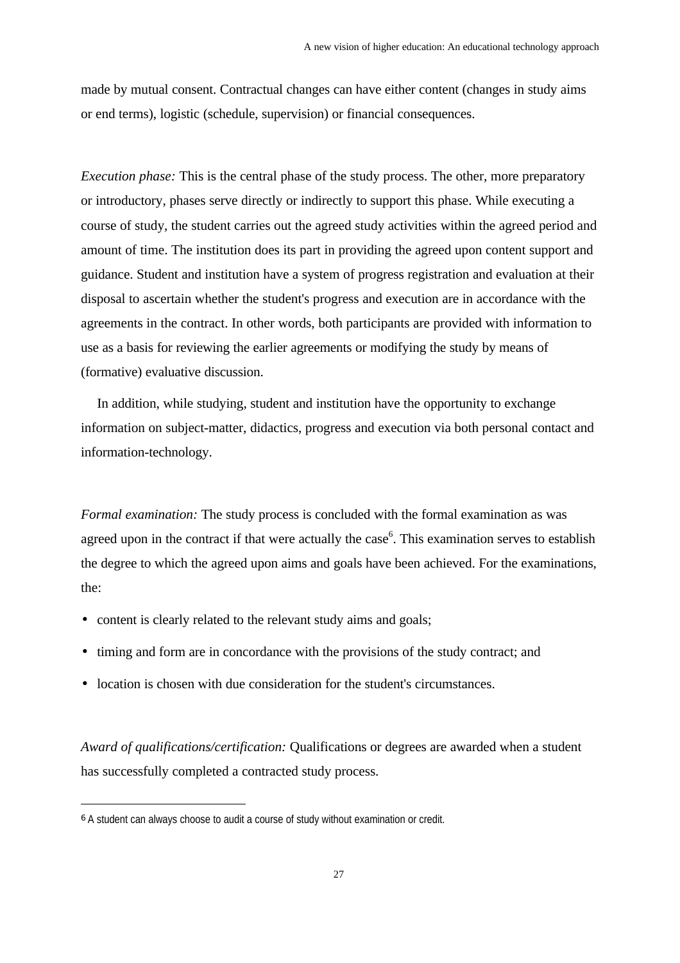made by mutual consent. Contractual changes can have either content (changes in study aims or end terms), logistic (schedule, supervision) or financial consequences.

*Execution phase:* This is the central phase of the study process. The other, more preparatory or introductory, phases serve directly or indirectly to support this phase. While executing a course of study, the student carries out the agreed study activities within the agreed period and amount of time. The institution does its part in providing the agreed upon content support and guidance. Student and institution have a system of progress registration and evaluation at their disposal to ascertain whether the student's progress and execution are in accordance with the agreements in the contract. In other words, both participants are provided with information to use as a basis for reviewing the earlier agreements or modifying the study by means of (formative) evaluative discussion.

In addition, while studying, student and institution have the opportunity to exchange information on subject-matter, didactics, progress and execution via both personal contact and information-technology.

*Formal examination:* The study process is concluded with the formal examination as was agreed upon in the contract if that were actually the case<sup>6</sup>. This examination serves to establish the degree to which the agreed upon aims and goals have been achieved. For the examinations, the:

- content is clearly related to the relevant study aims and goals:
- timing and form are in concordance with the provisions of the study contract; and
- location is chosen with due consideration for the student's circumstances.

*Award of qualifications/certification:* Qualifications or degrees are awarded when a student has successfully completed a contracted study process.

i

<sup>6</sup> A student can always choose to audit a course of study without examination or credit.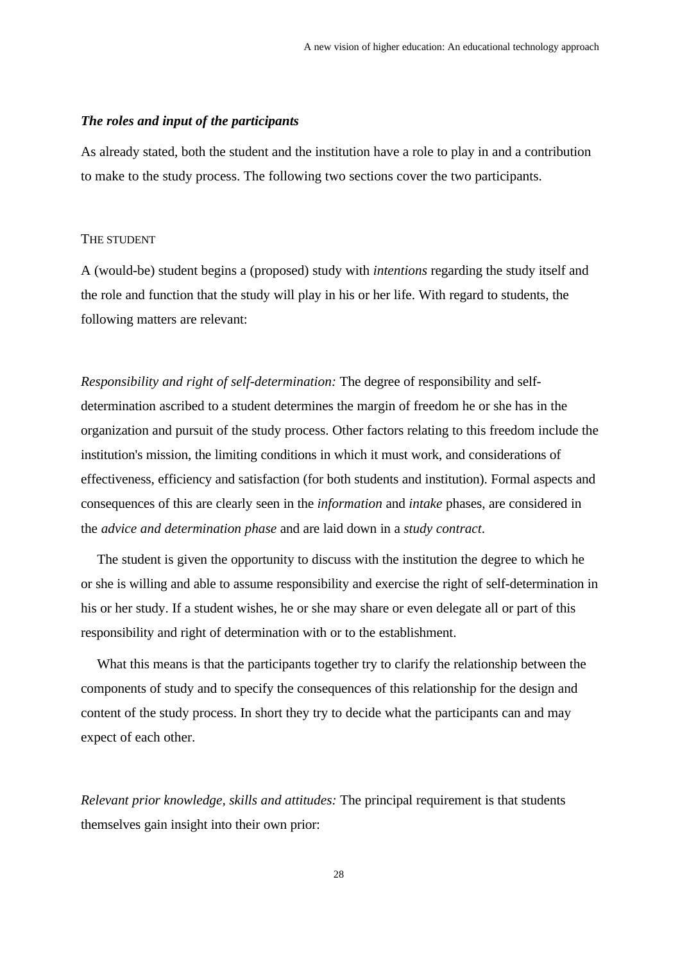# *The roles and input of the participants*

As already stated, both the student and the institution have a role to play in and a contribution to make to the study process. The following two sections cover the two participants.

#### THE STUDENT

A (would-be) student begins a (proposed) study with *intentions* regarding the study itself and the role and function that the study will play in his or her life. With regard to students, the following matters are relevant:

*Responsibility and right of self-determination:* The degree of responsibility and selfdetermination ascribed to a student determines the margin of freedom he or she has in the organization and pursuit of the study process. Other factors relating to this freedom include the institution's mission, the limiting conditions in which it must work, and considerations of effectiveness, efficiency and satisfaction (for both students and institution). Formal aspects and consequences of this are clearly seen in the *information* and *intake* phases, are considered in the *advice and determination phase* and are laid down in a *study contract*.

The student is given the opportunity to discuss with the institution the degree to which he or she is willing and able to assume responsibility and exercise the right of self-determination in his or her study. If a student wishes, he or she may share or even delegate all or part of this responsibility and right of determination with or to the establishment.

What this means is that the participants together try to clarify the relationship between the components of study and to specify the consequences of this relationship for the design and content of the study process. In short they try to decide what the participants can and may expect of each other.

*Relevant prior knowledge, skills and attitudes:* The principal requirement is that students themselves gain insight into their own prior: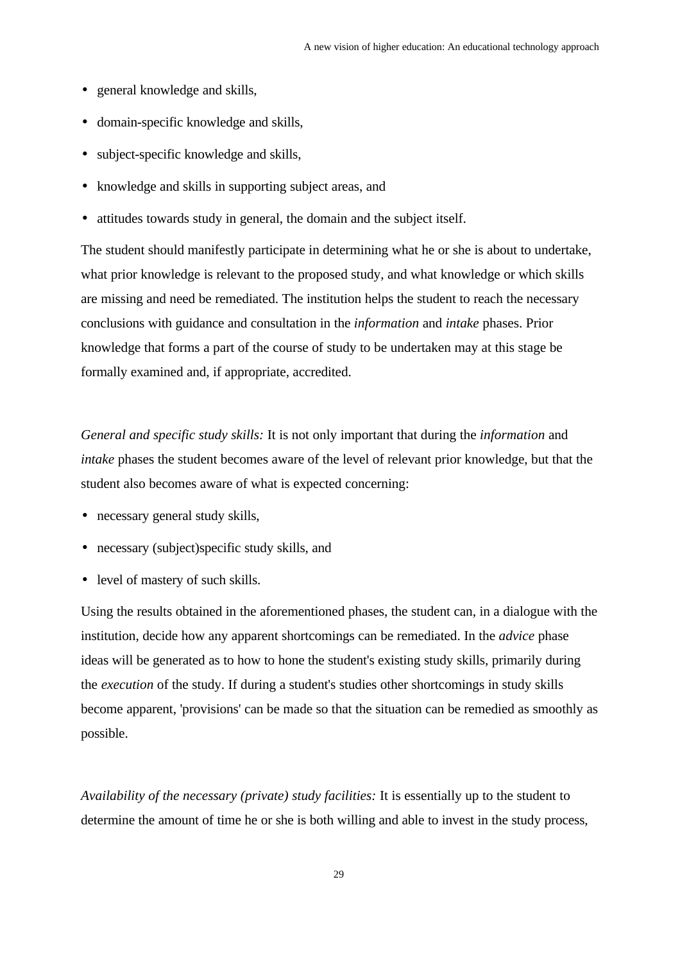- general knowledge and skills,
- domain-specific knowledge and skills,
- subject-specific knowledge and skills,
- knowledge and skills in supporting subject areas, and
- attitudes towards study in general, the domain and the subject itself.

The student should manifestly participate in determining what he or she is about to undertake, what prior knowledge is relevant to the proposed study, and what knowledge or which skills are missing and need be remediated. The institution helps the student to reach the necessary conclusions with guidance and consultation in the *information* and *intake* phases. Prior knowledge that forms a part of the course of study to be undertaken may at this stage be formally examined and, if appropriate, accredited.

*General and specific study skills:* It is not only important that during the *information* and *intake* phases the student becomes aware of the level of relevant prior knowledge, but that the student also becomes aware of what is expected concerning:

- necessary general study skills,
- necessary (subject) specific study skills, and
- level of mastery of such skills.

Using the results obtained in the aforementioned phases, the student can, in a dialogue with the institution, decide how any apparent shortcomings can be remediated. In the *advice* phase ideas will be generated as to how to hone the student's existing study skills, primarily during the *execution* of the study. If during a student's studies other shortcomings in study skills become apparent, 'provisions' can be made so that the situation can be remedied as smoothly as possible.

*Availability of the necessary (private) study facilities:* It is essentially up to the student to determine the amount of time he or she is both willing and able to invest in the study process,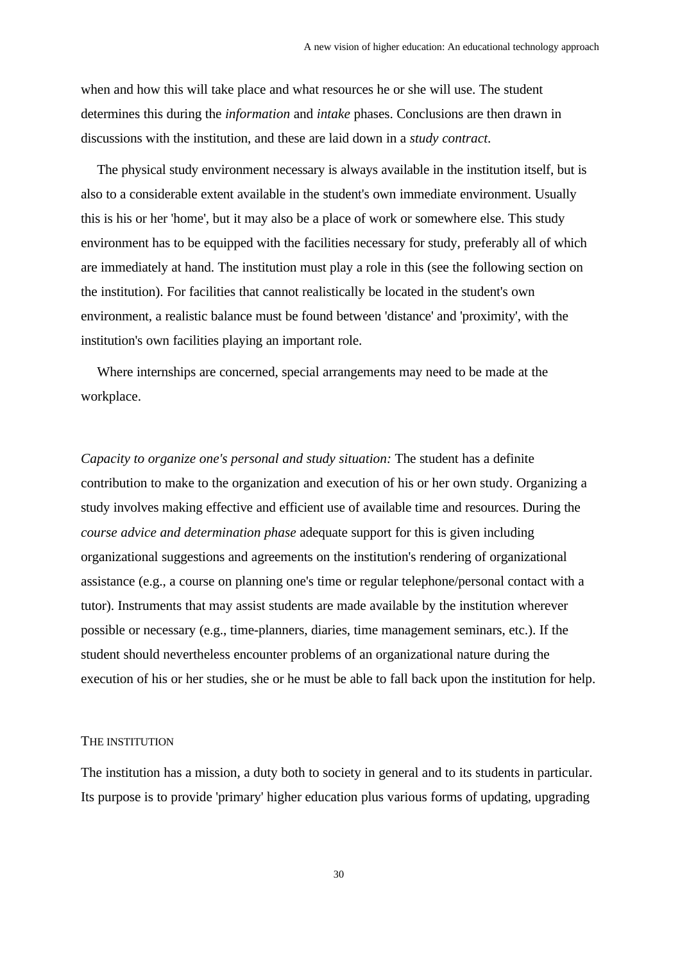when and how this will take place and what resources he or she will use. The student determines this during the *information* and *intake* phases. Conclusions are then drawn in discussions with the institution, and these are laid down in a *study contract*.

The physical study environment necessary is always available in the institution itself, but is also to a considerable extent available in the student's own immediate environment. Usually this is his or her 'home', but it may also be a place of work or somewhere else. This study environment has to be equipped with the facilities necessary for study, preferably all of which are immediately at hand. The institution must play a role in this (see the following section on the institution). For facilities that cannot realistically be located in the student's own environment, a realistic balance must be found between 'distance' and 'proximity', with the institution's own facilities playing an important role.

Where internships are concerned, special arrangements may need to be made at the workplace.

*Capacity to organize one's personal and study situation:* The student has a definite contribution to make to the organization and execution of his or her own study. Organizing a study involves making effective and efficient use of available time and resources. During the *course advice and determination phase* adequate support for this is given including organizational suggestions and agreements on the institution's rendering of organizational assistance (e.g., a course on planning one's time or regular telephone/personal contact with a tutor). Instruments that may assist students are made available by the institution wherever possible or necessary (e.g., time-planners, diaries, time management seminars, etc.). If the student should nevertheless encounter problems of an organizational nature during the execution of his or her studies, she or he must be able to fall back upon the institution for help.

#### THE INSTITUTION

The institution has a mission, a duty both to society in general and to its students in particular. Its purpose is to provide 'primary' higher education plus various forms of updating, upgrading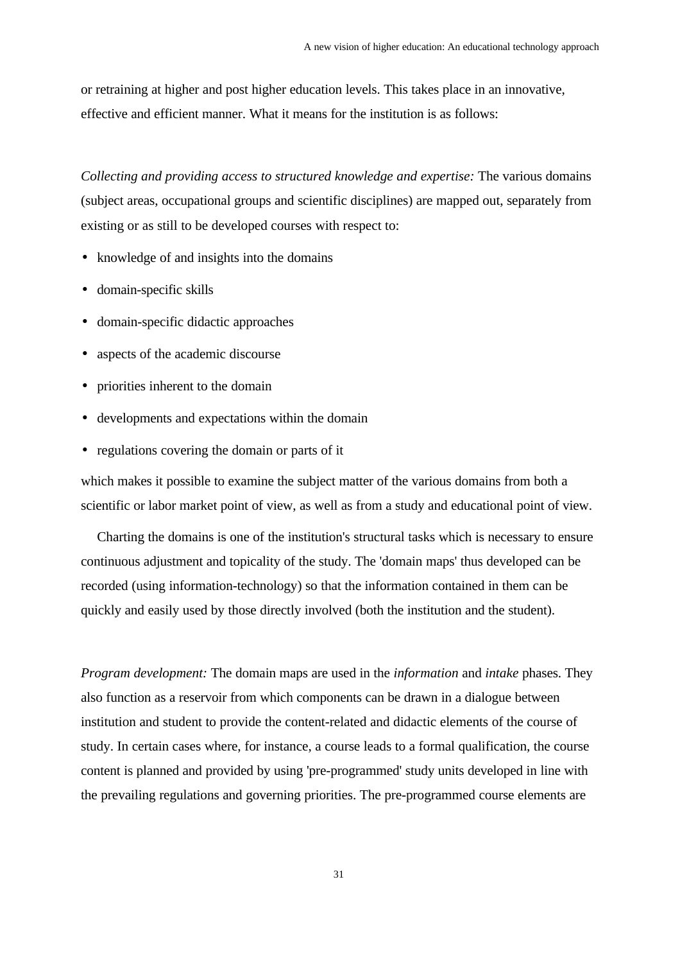or retraining at higher and post higher education levels. This takes place in an innovative, effective and efficient manner. What it means for the institution is as follows:

*Collecting and providing access to structured knowledge and expertise:* The various domains (subject areas, occupational groups and scientific disciplines) are mapped out, separately from existing or as still to be developed courses with respect to:

- knowledge of and insights into the domains
- domain-specific skills
- domain-specific didactic approaches
- aspects of the academic discourse
- priorities inherent to the domain
- developments and expectations within the domain
- regulations covering the domain or parts of it

which makes it possible to examine the subject matter of the various domains from both a scientific or labor market point of view, as well as from a study and educational point of view.

Charting the domains is one of the institution's structural tasks which is necessary to ensure continuous adjustment and topicality of the study. The 'domain maps' thus developed can be recorded (using information-technology) so that the information contained in them can be quickly and easily used by those directly involved (both the institution and the student).

*Program development:* The domain maps are used in the *information* and *intake* phases. They also function as a reservoir from which components can be drawn in a dialogue between institution and student to provide the content-related and didactic elements of the course of study. In certain cases where, for instance, a course leads to a formal qualification, the course content is planned and provided by using 'pre-programmed' study units developed in line with the prevailing regulations and governing priorities. The pre-programmed course elements are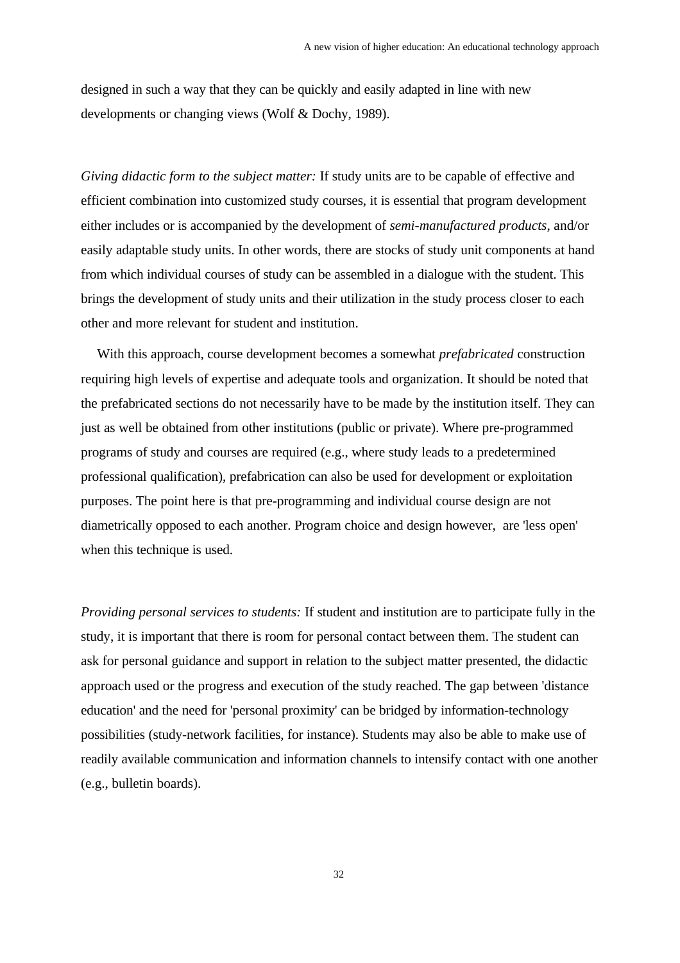designed in such a way that they can be quickly and easily adapted in line with new developments or changing views (Wolf & Dochy, 1989).

*Giving didactic form to the subject matter:* If study units are to be capable of effective and efficient combination into customized study courses, it is essential that program development either includes or is accompanied by the development of *semi-manufactured products*, and/or easily adaptable study units. In other words, there are stocks of study unit components at hand from which individual courses of study can be assembled in a dialogue with the student. This brings the development of study units and their utilization in the study process closer to each other and more relevant for student and institution.

With this approach, course development becomes a somewhat *prefabricated* construction requiring high levels of expertise and adequate tools and organization. It should be noted that the prefabricated sections do not necessarily have to be made by the institution itself. They can just as well be obtained from other institutions (public or private). Where pre-programmed programs of study and courses are required (e.g., where study leads to a predetermined professional qualification), prefabrication can also be used for development or exploitation purposes. The point here is that pre-programming and individual course design are not diametrically opposed to each another. Program choice and design however, are 'less open' when this technique is used.

*Providing personal services to students:* If student and institution are to participate fully in the study, it is important that there is room for personal contact between them. The student can ask for personal guidance and support in relation to the subject matter presented, the didactic approach used or the progress and execution of the study reached. The gap between 'distance education' and the need for 'personal proximity' can be bridged by information-technology possibilities (study-network facilities, for instance). Students may also be able to make use of readily available communication and information channels to intensify contact with one another (e.g., bulletin boards).

32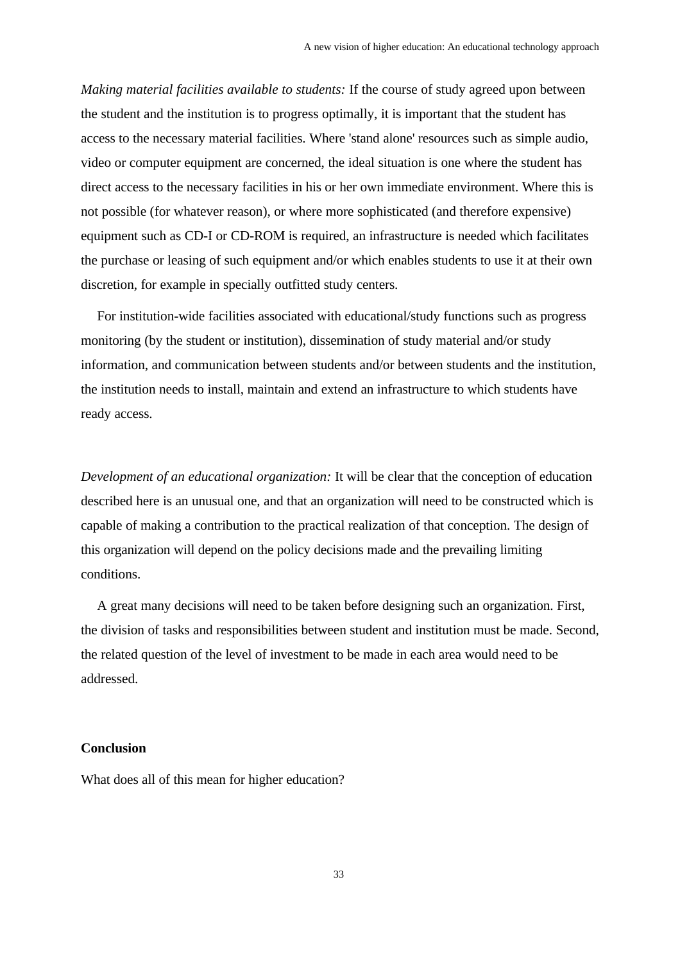*Making material facilities available to students:* If the course of study agreed upon between the student and the institution is to progress optimally, it is important that the student has access to the necessary material facilities. Where 'stand alone' resources such as simple audio, video or computer equipment are concerned, the ideal situation is one where the student has direct access to the necessary facilities in his or her own immediate environment. Where this is not possible (for whatever reason), or where more sophisticated (and therefore expensive) equipment such as CD-I or CD-ROM is required, an infrastructure is needed which facilitates the purchase or leasing of such equipment and/or which enables students to use it at their own discretion, for example in specially outfitted study centers.

For institution-wide facilities associated with educational/study functions such as progress monitoring (by the student or institution), dissemination of study material and/or study information, and communication between students and/or between students and the institution, the institution needs to install, maintain and extend an infrastructure to which students have ready access.

*Development of an educational organization:* It will be clear that the conception of education described here is an unusual one, and that an organization will need to be constructed which is capable of making a contribution to the practical realization of that conception. The design of this organization will depend on the policy decisions made and the prevailing limiting conditions.

A great many decisions will need to be taken before designing such an organization. First, the division of tasks and responsibilities between student and institution must be made. Second, the related question of the level of investment to be made in each area would need to be addressed.

#### **Conclusion**

What does all of this mean for higher education?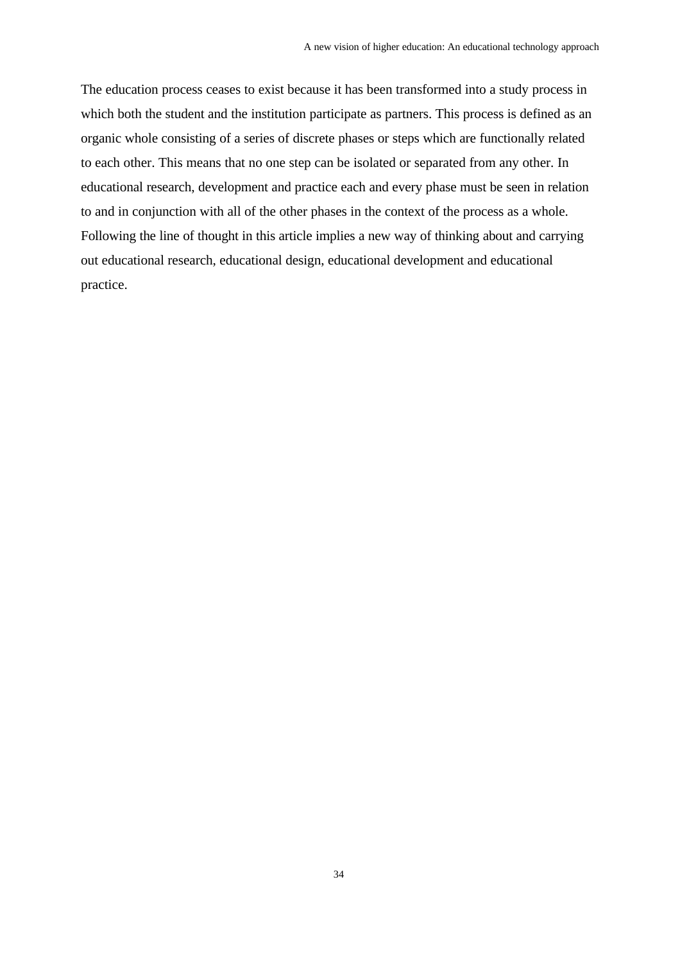The education process ceases to exist because it has been transformed into a study process in which both the student and the institution participate as partners. This process is defined as an organic whole consisting of a series of discrete phases or steps which are functionally related to each other. This means that no one step can be isolated or separated from any other. In educational research, development and practice each and every phase must be seen in relation to and in conjunction with all of the other phases in the context of the process as a whole. Following the line of thought in this article implies a new way of thinking about and carrying out educational research, educational design, educational development and educational practice.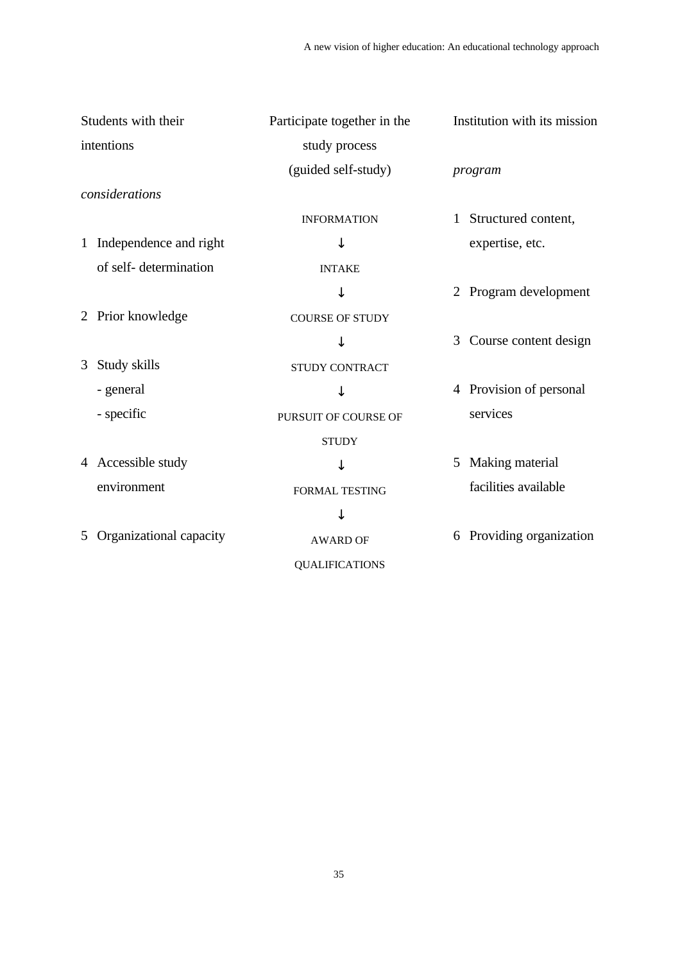| Students with their |                         | Participate together in the | Institution with its mission |
|---------------------|-------------------------|-----------------------------|------------------------------|
| intentions          |                         | study process               |                              |
|                     |                         | (guided self-study)         | program                      |
|                     | considerations          |                             |                              |
|                     |                         | <b>INFORMATION</b>          | 1 Structured content,        |
| $\mathbf{1}$        | Independence and right  |                             | expertise, etc.              |
|                     | of self-determination   | <b>INTAKE</b>               |                              |
|                     |                         |                             | 2 Program development        |
| 2                   | Prior knowledge         | <b>COURSE OF STUDY</b>      |                              |
|                     |                         |                             | Course content design<br>3   |
| 3                   | Study skills            | <b>STUDY CONTRACT</b>       |                              |
|                     | - general               |                             | 4 Provision of personal      |
|                     | - specific              | PURSUIT OF COURSE OF        | services                     |
|                     |                         | <b>STUDY</b>                |                              |
|                     | 4 Accessible study      |                             | Making material<br>5         |
|                     | environment             | <b>FORMAL TESTING</b>       | facilities available         |
|                     |                         |                             |                              |
| 5                   | Organizational capacity | <b>AWARD OF</b>             | Providing organization<br>6  |
|                     |                         | <b>QUALIFICATIONS</b>       |                              |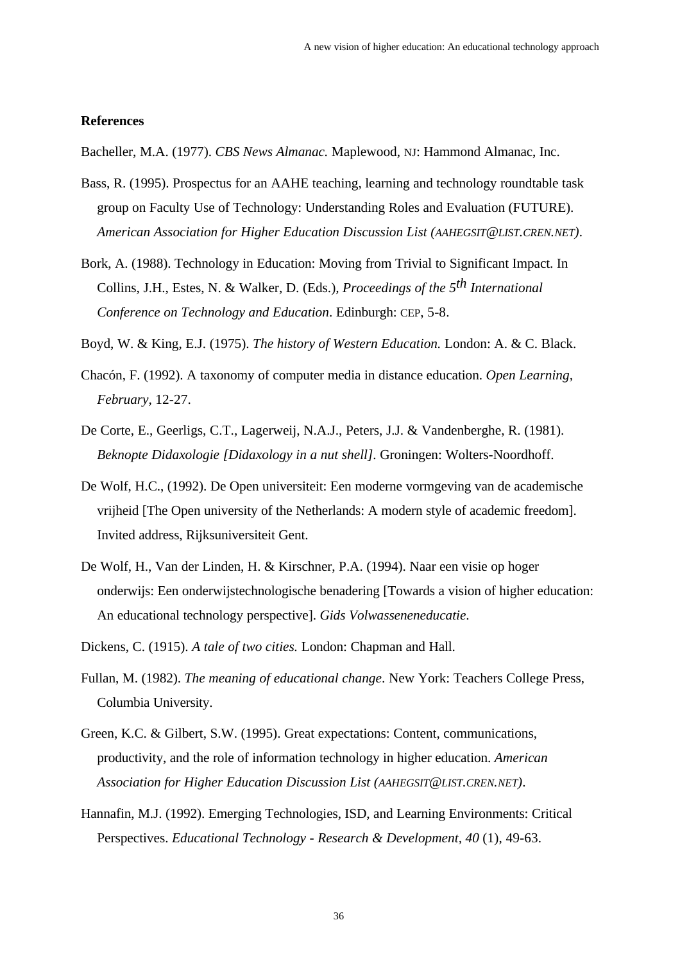### **References**

Bacheller, M.A. (1977). *CBS News Almanac.* Maplewood, NJ: Hammond Almanac, Inc.

- Bass, R. (1995). Prospectus for an AAHE teaching, learning and technology roundtable task group on Faculty Use of Technology: Understanding Roles and Evaluation (FUTURE). *American Association for Higher Education Discussion List (AAHEGSIT@LIST.CREN.NET)*.
- Bork, A. (1988). Technology in Education: Moving from Trivial to Significant Impact. In Collins, J.H., Estes, N. & Walker, D. (Eds.)*, Proceedings of the 5th International Conference on Technology and Education*. Edinburgh: CEP, 5-8.
- Boyd, W. & King, E.J. (1975). *The history of Western Education.* London: A. & C. Black.
- Chacón, F. (1992). A taxonomy of computer media in distance education. *Open Learning, February,* 12-27.
- De Corte, E., Geerligs, C.T., Lagerweij, N.A.J., Peters, J.J. & Vandenberghe, R. (1981). *Beknopte Didaxologie [Didaxology in a nut shell]*. Groningen: Wolters-Noordhoff.
- De Wolf, H.C., (1992). De Open universiteit: Een moderne vormgeving van de academische vrijheid [The Open university of the Netherlands: A modern style of academic freedom]. Invited address, Rijksuniversiteit Gent.
- De Wolf, H., Van der Linden, H. & Kirschner, P.A. (1994). Naar een visie op hoger onderwijs: Een onderwijstechnologische benadering [Towards a vision of higher education: An educational technology perspective]. *Gids Volwasseneneducatie*.
- Dickens, C. (1915). *A tale of two cities.* London: Chapman and Hall.
- Fullan, M. (1982). *The meaning of educational change*. New York: Teachers College Press, Columbia University.
- Green, K.C. & Gilbert, S.W. (1995). Great expectations: Content, communications, productivity, and the role of information technology in higher education. *American Association for Higher Education Discussion List (AAHEGSIT@LIST.CREN.NET)*.
- Hannafin, M.J. (1992). Emerging Technologies, ISD, and Learning Environments: Critical Perspectives. *Educational Technology - Research & Development, 40* (1), 49-63.